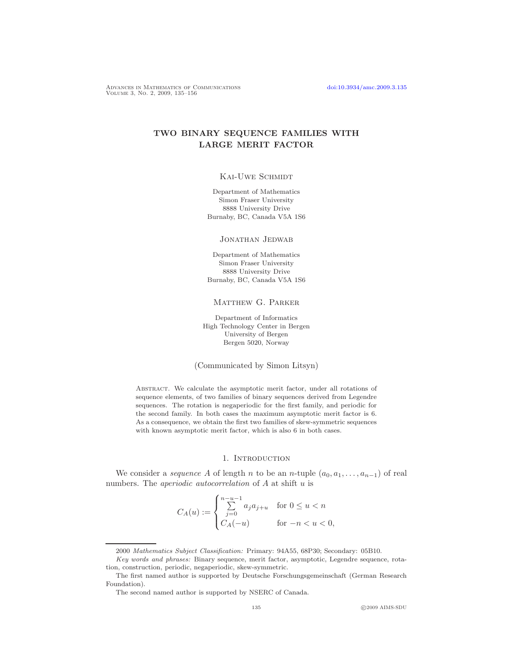ADVANCES IN MATHEMATICS OF COMMUNICATIONS [doi:10.3934/amc.2009.3.135](http://dx.doi.org/10.3934/amc.2009.3.135)<br>Volume 3, No. 2, 2009, 135–156

# TWO BINARY SEQUENCE FAMILIES WITH LARGE MERIT FACTOR

## KAI-UWE SCHMIDT

Department of Mathematics Simon Fraser University 8888 University Drive Burnaby, BC, Canada V5A 1S6

Jonathan Jedwab

Department of Mathematics Simon Fraser University 8888 University Drive Burnaby, BC, Canada V5A 1S6

#### Matthew G. Parker

Department of Informatics High Technology Center in Bergen University of Bergen Bergen 5020, Norway

(Communicated by Simon Litsyn)

ABSTRACT. We calculate the asymptotic merit factor, under all rotations of sequence elements, of two families of binary sequences derived from Legendre sequences. The rotation is negaperiodic for the first family, and periodic for the second family. In both cases the maximum asymptotic merit factor is 6. As a consequence, we obtain the first two families of skew-symmetric sequences with known asymptotic merit factor, which is also 6 in both cases.

#### 1. Introduction

<span id="page-0-0"></span>We consider a *sequence* A of length n to be an n-tuple  $(a_0, a_1, \ldots, a_{n-1})$  of real numbers. The *aperiodic autocorrelation* of  $A$  at shift  $u$  is

$$
C_A(u) := \begin{cases} \sum_{j=0}^{n-u-1} a_j a_{j+u} & \text{for } 0 \le u < n \\ C_A(-u) & \text{for } -n < u < 0, \end{cases}
$$

<sup>2000</sup> Mathematics Subject Classification: Primary: 94A55, 68P30; Secondary: 05B10.

Key words and phrases: Binary sequence, merit factor, asymptotic, Legendre sequence, rota-

tion, construction, periodic, negaperiodic, skew-symmetric. The first named author is supported by Deutsche Forschungsgemeinschaft (German Research Foundation).

The second named author is supported by NSERC of Canada.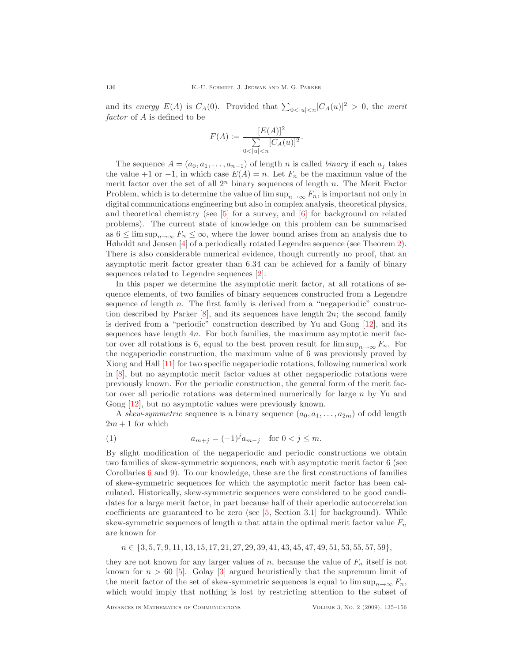and its energy  $E(A)$  is  $C_A(0)$ . Provided that  $\sum_{0 \le |u| < n} [C_A(u)]^2 > 0$ , the merit factor of A is defined to be

$$
F(A) := \frac{[E(A)]^2}{\sum_{0 < |u| < n} [C_A(u)]^2}.
$$

The sequence  $A = (a_0, a_1, \ldots, a_{n-1})$  of length n is called *binary* if each  $a_j$  takes the value +1 or −1, in which case  $E(A) = n$ . Let  $F_n$  be the maximum value of the merit factor over the set of all  $2^n$  binary sequences of length n. The Merit Factor Problem, which is to determine the value of  $\limsup_{n\to\infty} F_n$ , is important not only in digital communications engineering but also in complex analysis, theoretical physics, and theoretical chemistry (see  $\overline{5}$ ) for a survey, and  $\overline{6}$ ) for background on related problems). The current state of knowledge on this problem can be summarised as  $6 \leq \limsup_{n \to \infty} F_n \leq \infty$ , where the lower bound arises from an analysis due to Høholdt and Jensen [\[4\]](#page-20-1) of a periodically rotated Legendre sequence (see Theorem [2\)](#page-5-0). There is also considerable numerical evidence, though currently no proof, that an asymptotic merit factor greater than 6.34 can be achieved for a family of binary sequences related to Legendre sequences [\[2\]](#page-20-2).

In this paper we determine the asymptotic merit factor, at all rotations of sequence elements, of two families of binary sequences constructed from a Legendre sequence of length  $n$ . The first family is derived from a "negaperiodic" construction described by Parker [\[8\]](#page-21-1), and its sequences have length 2n; the second family is derived from a "periodic" construction described by Yu and Gong [\[12\]](#page-21-2), and its sequences have length 4n. For both families, the maximum asymptotic merit factor over all rotations is 6, equal to the best proven result for  $\limsup_{n\to\infty} F_n$ . For the negaperiodic construction, the maximum value of 6 was previously proved by Xiong and Hall [\[11\]](#page-21-3) for two specific negaperiodic rotations, following numerical work in [\[8\]](#page-21-1), but no asymptotic merit factor values at other negaperiodic rotations were previously known. For the periodic construction, the general form of the merit factor over all periodic rotations was determined numerically for large n by Yu and Gong [\[12\]](#page-21-2), but no asymptotic values were previously known.

A skew-symmetric sequence is a binary sequence  $(a_0, a_1, \ldots, a_{2m})$  of odd length  $2m + 1$  for which

<span id="page-1-0"></span>(1) 
$$
a_{m+j} = (-1)^j a_{m-j} \text{ for } 0 < j \le m.
$$

By slight modification of the negaperiodic and periodic constructions we obtain two families of skew-symmetric sequences, each with asymptotic merit factor 6 (see Corollaries [6](#page-10-0) and [9\)](#page-14-0). To our knowledge, these are the first constructions of families of skew-symmetric sequences for which the asymptotic merit factor has been calculated. Historically, skew-symmetric sequences were considered to be good candidates for a large merit factor, in part because half of their aperiodic autocorrelation coefficients are guaranteed to be zero (see [\[5,](#page-20-0) Section 3.1] for background). While skew-symmetric sequences of length n that attain the optimal merit factor value  $F_n$ are known for

 $n \in \{3, 5, 7, 9, 11, 13, 15, 17, 21, 27, 29, 39, 41, 43, 45, 47, 49, 51, 53, 55, 57, 59\},\$ 

they are not known for any larger values of n, because the value of  $F_n$  itself is not known for  $n > 60$  [\[5\]](#page-20-0). Golay [\[3\]](#page-20-3) argued heuristically that the supremum limit of the merit factor of the set of skew-symmetric sequences is equal to  $\limsup_{n\to\infty} F_n$ , which would imply that nothing is lost by restricting attention to the subset of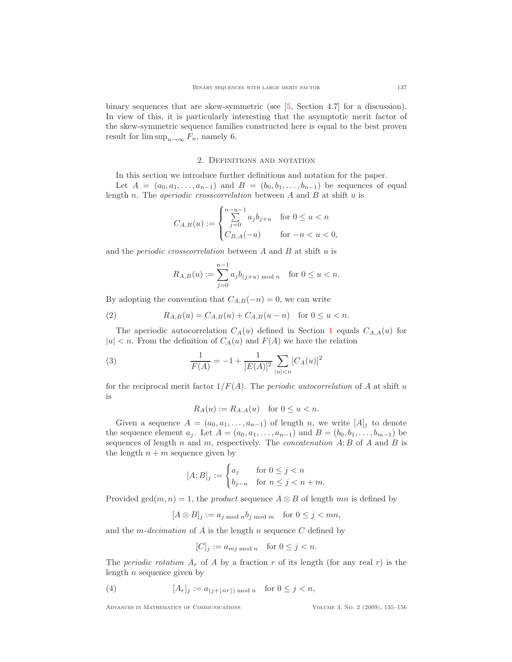binary sequences that are skew-symmetric (see [\[5,](#page-20-0) Section 4.7] for a discussion). In view of this, it is particularly interesting that the asymptotic merit factor of the skew-symmetric sequence families constructed here is equal to the best proven result for  $\limsup_{n\to\infty} F_n$ , namely 6.

## 2. Definitions and notation

In this section we introduce further definitions and notation for the paper.

<span id="page-2-3"></span>Let  $A = (a_0, a_1, \ldots, a_{n-1})$  and  $B = (b_0, b_1, \ldots, b_{n-1})$  be sequences of equal length n. The *aperiodic crosscorrelation* between  $A$  and  $B$  at shift  $u$  is

$$
C_{A,B}(u) := \begin{cases} \sum_{j=0}^{n-u-1} a_j b_{j+u} & \text{for } 0 \le u < n \\ C_{B,A}(-u) & \text{for } -n < u < 0, \end{cases}
$$

and the *periodic crosscorrelation* between  $A$  and  $B$  at shift  $u$  is

$$
R_{A,B}(u) := \sum_{j=0}^{n-1} a_j b_{(j+u) \bmod n} \text{ for } 0 \le u < n.
$$

By adopting the convention that  $C_{A,B}(-n) = 0$ , we can write

<span id="page-2-1"></span>(2) 
$$
R_{A,B}(u) = C_{A,B}(u) + C_{A,B}(u - n) \text{ for } 0 \le u < n.
$$

The aperiodic autocorrelation  $C_A(u)$  defined in Section [1](#page-0-0) equals  $C_{A,A}(u)$  for  $|u| < n$ . From the definition of  $C_A(u)$  and  $F(A)$  we have the relation

<span id="page-2-0"></span>(3) 
$$
\frac{1}{F(A)} = -1 + \frac{1}{[E(A)]^2} \sum_{|u| < n} [C_A(u)]^2
$$

for the reciprocal merit factor  $1/F(A)$ . The *periodic autocorrelation* of A at shift u is

$$
R_A(u) := R_{A,A}(u) \quad \text{for } 0 \le u < n.
$$

Given a sequence  $A = (a_0, a_1, \ldots, a_{n-1})$  of length n, we write  $[A]_i$  to denote the sequence element  $a_j$ . Let  $A = (a_0, a_1, \ldots, a_{n-1})$  and  $B = (b_0, b_1, \ldots, b_{m-1})$  be sequences of length n and m, respectively. The *concatenation*  $A; B$  of A and B is the length  $n + m$  sequence given by

$$
[A;B]_j := \begin{cases} a_j & \text{for } 0 \le j < n \\ b_{j-n} & \text{for } n \le j < n+m. \end{cases}
$$

Provided gcd $(m, n) = 1$ , the product sequence  $A \otimes B$  of length mn is defined by

$$
[A \otimes B]_j := a_{j \bmod n} b_{j \bmod m} \quad \text{for } 0 \le j < mn,
$$

and the *m*-decimation of A is the length n sequence C defined by

$$
[C]_j := a_{mj \bmod n} \quad \text{for } 0 \le j < n.
$$

The *periodic rotation*  $A_r$  of A by a fraction r of its length (for any real r) is the length  $n$  sequence given by

<span id="page-2-2"></span>(4) 
$$
[A_r]_j := a_{(j+\lfloor nr \rfloor) \bmod n} \text{ for } 0 \leq j < n,
$$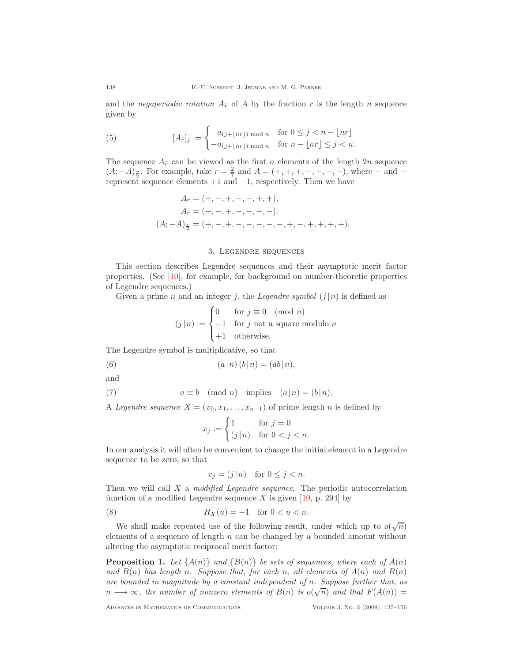and the negaperiodic rotation  $A_{\tilde{r}}$  of A by the fraction r is the length n sequence given by

<span id="page-3-1"></span>(5) 
$$
[A_{\widetilde{r}}]_j := \begin{cases} a_{(j+\lfloor nr \rfloor) \bmod n} & \text{for } 0 \leq j < n - \lfloor nr \rfloor \\ -a_{(j+\lfloor nr \rfloor) \bmod n} & \text{for } n - \lfloor nr \rfloor \leq j < n. \end{cases}
$$

The sequence  $A_{\tilde{r}}$  can be viewed as the first n elements of the length 2n sequence  $(A; -A)_{\frac{r}{2}}$ . For example, take  $r = \frac{2}{7}$  and  $A = (+, +, +, -, +, -, -)$ , where + and represent sequence elements +1 and −1, respectively. Then we have

$$
A_r = (+, -, +, -, -, +, +),
$$
  
\n
$$
A_{\tilde{r}} = (+, -, +, -, -, -, -, -).
$$
  
\n
$$
(A; -A)_{\frac{r}{2}} = (+, -, +, -, -, -, -, -, +, -, +, +, +, +).
$$

#### 3. Legendre sequences

This section describes Legendre sequences and their asymptotic merit factor properties. (See [\[10\]](#page-21-4), for example, for background on number-theoretic properties of Legendre sequences.)

Given a prime n and an integer j, the Legendre symbol  $(j | n)$  is defined as

$$
(j | n) := \begin{cases} 0 & \text{for } j \equiv 0 \pmod{n} \\ -1 & \text{for } j \text{ not a square modulo } n \\ +1 & \text{otherwise.} \end{cases}
$$

The Legendre symbol is multiplicative, so that

<span id="page-3-3"></span>(6) 
$$
(a|n)(b|n) = (ab|n),
$$

and

<span id="page-3-2"></span>(7) 
$$
a \equiv b \pmod{n}
$$
 implies  $(a|n) = (b|n)$ .

A Legendre sequence  $X = (x_0, x_1, \ldots, x_{n-1})$  of prime length n is defined by

$$
x_j := \begin{cases} 1 & \text{for } j = 0 \\ (j \mid n) & \text{for } 0 < j < n. \end{cases}
$$

In our analysis it will often be convenient to change the initial element in a Legendre sequence to be zero, so that

$$
x_j = (j \mid n) \quad \text{for } 0 \le j < n.
$$

Then we will call  $X$  a *modified Legendre sequence*. The periodic autocorrelation function of a modified Legendre sequence X is given  $[10, p. 294]$  by

<span id="page-3-4"></span>
$$
(8) \t\t R_X(u) = -1 \t for 0 < u < n.
$$

We shall make repeated use of the following result, under which up to  $o(\sqrt{n})$ elements of a sequence of length  $n$  can be changed by a bounded amount without altering the asymptotic reciprocal merit factor:

<span id="page-3-0"></span>**Proposition 1.** Let  $\{A(n)\}\$ and  $\{B(n)\}\$ be sets of sequences, where each of  $A(n)$ and  $B(n)$  has length n. Suppose that, for each n, all elements of  $A(n)$  and  $B(n)$ are bounded in magnitude by a constant independent of n. Suppose further that, as  $n \longrightarrow \infty$ , the number of nonzero elements of  $B(n)$  is  $o(\sqrt{n})$  and that  $F(A(n)) =$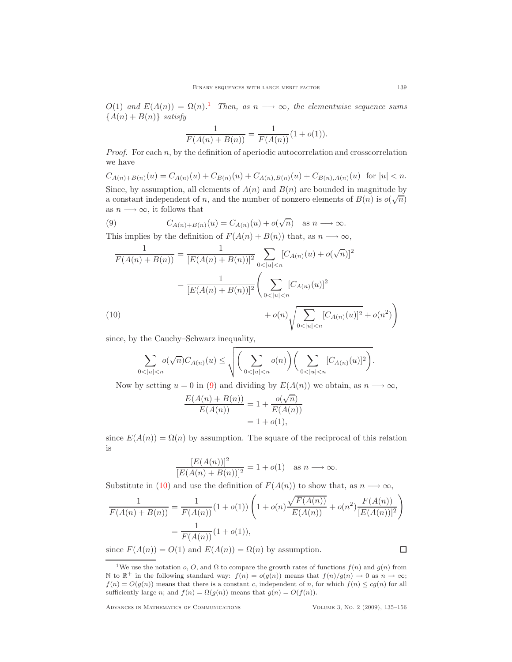$O(1)$  $O(1)$  $O(1)$  and  $E(A(n)) = \Omega(n)$ .<sup>1</sup> Then, as  $n \longrightarrow \infty$ , the elementwise sequence sums  ${A(n) + B(n)}$  satisfy

$$
\frac{1}{F(A(n) + B(n))} = \frac{1}{F(A(n))}(1 + o(1)).
$$

*Proof.* For each  $n$ , by the definition of aperiodic autocorrelation and crosscorrelation we have

 $C_{A(n)+B(n)}(u) = C_{A(n)}(u) + C_{B(n)}(u) + C_{A(n),B(n)}(u) + C_{B(n),A(n)}(u)$  for  $|u| < n$ . Since, by assumption, all elements of  $A(n)$  and  $B(n)$  are bounded in magnitude by a constant independent of n, and the number of nonzero elements of  $B(n)$  is  $o(\sqrt{n})$ as  $n \longrightarrow \infty$ , it follows that

<span id="page-4-1"></span>(9) 
$$
C_{A(n)+B(n)}(u) = C_{A(n)}(u) + o(\sqrt{n}) \text{ as } n \longrightarrow \infty.
$$

This implies by the definition of  $F(A(n) + B(n))$  that, as  $n \longrightarrow \infty$ ,

$$
\frac{1}{F(A(n) + B(n))} = \frac{1}{[E(A(n) + B(n))]^2} \sum_{0 < |u| < n} [C_{A(n)}(u) + o(\sqrt{n})]^2
$$
\n
$$
= \frac{1}{[E(A(n) + B(n))]^2} \left( \sum_{0 < |u| < n} [C_{A(n)}(u)]^2 + o(n) \sqrt{\sum_{0 < |u| < n} [C_{A(n)}(u)]^2 + o(n^2)} \right)
$$
\n(10)

<span id="page-4-2"></span>since, by the Cauchy–Schwarz inequality,

$$
\sum_{0<|u|
$$

Now by setting  $u = 0$  in [\(9\)](#page-4-1) and dividing by  $E(A(n))$  we obtain, as  $n \longrightarrow \infty$ ,

$$
\frac{E(A(n) + B(n))}{E(A(n))} = 1 + \frac{o(\sqrt{n})}{E(A(n))}
$$
  
= 1 + o(1),

since  $E(A(n)) = \Omega(n)$  by assumption. The square of the reciprocal of this relation is

$$
\frac{[E(A(n))]^2}{[E(A(n) + B(n))]^2} = 1 + o(1) \quad \text{as } n \longrightarrow \infty.
$$

Substitute in [\(10\)](#page-4-2) and use the definition of  $F(A(n))$  to show that, as  $n \longrightarrow \infty$ ,

$$
\frac{1}{F(A(n) + B(n))} = \frac{1}{F(A(n))} (1 + o(1)) \left( 1 + o(n) \frac{\sqrt{F(A(n))}}{E(A(n))} + o(n^2) \frac{F(A(n))}{[E(A(n))]^2} \right)
$$

$$
= \frac{1}{F(A(n))} (1 + o(1)),
$$

since  $F(A(n)) = O(1)$  and  $E(A(n)) = \Omega(n)$  by assumption.

Advances in Mathematics of Communications Volume 3, No. 2 (2009), 135–156

 $\Box$ 

<span id="page-4-0"></span><sup>&</sup>lt;sup>1</sup>We use the notation o, O, and  $\Omega$  to compare the growth rates of functions  $f(n)$  and  $g(n)$  from N to  $\mathbb{R}^+$  in the following standard way:  $f(n) = o(g(n))$  means that  $f(n)/g(n) \to 0$  as  $n \to \infty$ ;  $f(n) = O(g(n))$  means that there is a constant c, independent of n, for which  $f(n) \leq cg(n)$  for all sufficiently large n; and  $f(n) = \Omega(g(n))$  means that  $g(n) = O(f(n))$ .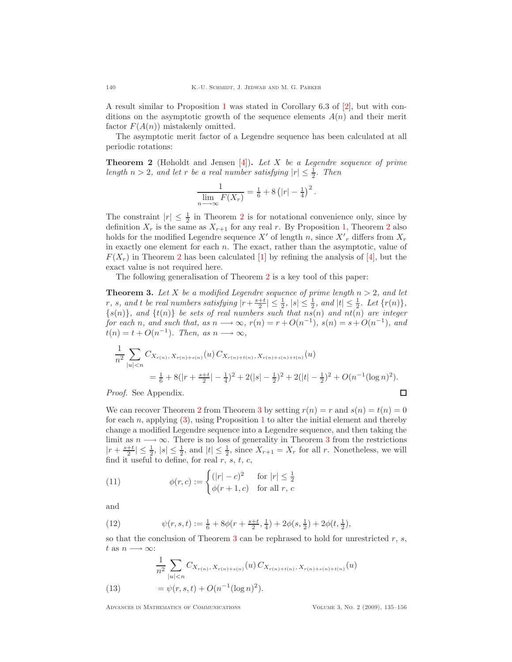A result similar to Proposition [1](#page-3-0) was stated in Corollary 6.3 of [\[2\]](#page-20-2), but with conditions on the asymptotic growth of the sequence elements  $A(n)$  and their merit factor  $F(A(n))$  mistakenly omitted.

<span id="page-5-0"></span>The asymptotic merit factor of a Legendre sequence has been calculated at all periodic rotations:

**Theorem 2** (Høholdt and Jensen [\[4\]](#page-20-1)). Let X be a Legendre sequence of prime length  $n > 2$ , and let r be a real number satisfying  $|r| \leq \frac{1}{2}$ . Then

$$
\frac{1}{\lim_{n \to \infty} F(X_r)} = \frac{1}{6} + 8\left(|r| - \frac{1}{4}\right)^2.
$$

The constraint  $|r| \leq \frac{1}{2}$  $|r| \leq \frac{1}{2}$  $|r| \leq \frac{1}{2}$  in Theorem 2 is for notational convenience only, since by definition  $X_r$  is the same as  $X_{r+1}$  for any real r. By Proposition [1,](#page-3-0) Theorem [2](#page-5-0) also holds for the modified Legendre sequence  $X'$  of length n, since  $X'$ <sub>r</sub> differs from  $X_r$ in exactly one element for each  $n$ . The exact, rather than the asymptotic, value of  $F(X<sub>r</sub>)$  in Theorem [2](#page-5-0) has been calculated [\[1\]](#page-20-4) by refining the analysis of [\[4\]](#page-20-1), but the exact value is not required here.

The following generalisation of Theorem [2](#page-5-0) is a key tool of this paper:

<span id="page-5-1"></span>**Theorem 3.** Let X be a modified Legendre sequence of prime length  $n > 2$ , and let r, s, and t be real numbers satisfying  $|r + \frac{s+t}{2}| \leq \frac{1}{2}$ ,  $|s| \leq \frac{1}{2}$ , and  $|t| \leq \frac{1}{2}$ . Let  $\{r(n)\},$  ${s(n)}$ , and  ${t(n)}$  be sets of real numbers such that  $ns(n)$  and  $nt(n)$  are integer for each n, and such that, as  $n \longrightarrow \infty$ ,  $r(n) = r + O(n^{-1})$ ,  $s(n) = s + O(n^{-1})$ , and  $t(n) = t + O(n^{-1})$ . Then, as  $n \longrightarrow \infty$ ,

$$
\frac{1}{n^2} \sum_{|u| < n} C_{X_{r(n)}, X_{r(n)+s(n)}}(u) C_{X_{r(n)+t(n)}, X_{r(n)+s(n)+t(n)}}(u)
$$
\n
$$
= \frac{1}{6} + 8(|r + \frac{s+t}{2}| - \frac{1}{4})^2 + 2(|s| - \frac{1}{2})^2 + 2(|t| - \frac{1}{2})^2 + O(n^{-1}(\log n)^2).
$$
\n*Proof.* See Appendix.

Proof. See Appendix.

We can recover Theorem [2](#page-5-0) from Theorem [3](#page-5-1) by setting  $r(n) = r$  and  $s(n) = t(n) = 0$ for each  $n$ , applying  $(3)$ , using Proposition [1](#page-3-0) to alter the initial element and thereby change a modified Legendre sequence into a Legendre sequence, and then taking the limit as  $n \longrightarrow \infty$ . There is no loss of generality in Theorem [3](#page-5-1) from the restrictions  $|r + \frac{s+t}{2}| \leq \frac{1}{2}$ ,  $|s| \leq \frac{1}{2}$ , and  $|t| \leq \frac{1}{2}$ , since  $X_{r+1} = X_r$  for all r. Nonetheless, we will find it useful to define, for real  $r, s, t, c$ ,

<span id="page-5-4"></span>(11) 
$$
\phi(r,c) := \begin{cases} (|r| - c)^2 & \text{for } |r| \le \frac{1}{2} \\ \phi(r+1,c) & \text{for all } r, \end{cases}
$$

and

<span id="page-5-3"></span>(12) 
$$
\psi(r,s,t) := \frac{1}{6} + 8\phi(r + \frac{s+t}{2}, \frac{1}{4}) + 2\phi(s, \frac{1}{2}) + 2\phi(t, \frac{1}{2}),
$$

so that the conclusion of Theorem [3](#page-5-1) can be rephrased to hold for unrestricted  $r, s$ , t as  $n \longrightarrow \infty$ :

<span id="page-5-2"></span>(13) 
$$
\frac{1}{n^2} \sum_{|u| < n} C_{X_{r(n)}, X_{r(n)+s(n)}}(u) C_{X_{r(n)+t(n)}, X_{r(n)+s(n)+t(n)}}(u)
$$

$$
= \psi(r, s, t) + O(n^{-1} (\log n)^2).
$$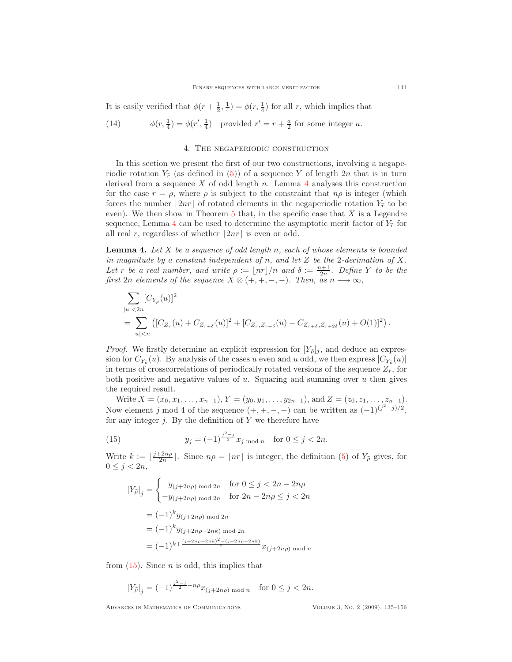It is easily verified that  $\phi(r+\frac{1}{2},\frac{1}{4}) = \phi(r,\frac{1}{4})$  for all r, which implies that

<span id="page-6-2"></span>(14) 
$$
\phi(r, \frac{1}{4}) = \phi(r', \frac{1}{4}) \text{ provided } r' = r + \frac{a}{2} \text{ for some integer } a.
$$

#### 4. The negaperiodic construction

In this section we present the first of our two constructions, involving a negaperiodic rotation  $Y_{\tilde{r}}$  (as defined in [\(5\)](#page-3-1)) of a sequence Y of length 2n that is in turn derived from a sequence X of odd length  $n$ . Lemma [4](#page-6-0) analyses this construction for the case  $r = \rho$ , where  $\rho$  is subject to the constraint that  $n\rho$  is integer (which forces the number  $|2nr|$  of rotated elements in the negaperiodic rotation  $Y_{\tilde{r}}$  to be even). We then show in Theorem [5](#page-8-0) that, in the specific case that  $X$  is a Legendre sequence, Lemma [4](#page-6-0) can be used to determine the asymptotic merit factor of  $Y_{\tilde{r}}$  for all real r, regardless of whether  $|2nr|$  is even or odd.

<span id="page-6-0"></span>**Lemma 4.** Let  $X$  be a sequence of odd length n, each of whose elements is bounded in magnitude by a constant independent of n, and let  $Z$  be the 2-decimation of  $X$ . Let r be a real number, and write  $\rho := \lfloor nr \rfloor/n$  and  $\delta := \frac{n+1}{2n}$ . Define Y to be the first 2n elements of the sequence  $X \otimes (+,+,-,-)$ . Then, as  $n \longrightarrow \infty$ ,

$$
\sum_{|u|<2n} [C_{Y_{\tilde{\rho}}}(u)]^2
$$
\n
$$
= \sum_{|u|
$$

*Proof.* We firstly determine an explicit expression for  $[Y_{\tilde{\rho}}]_j$ , and deduce an expression for  $C_{Y_{\tilde{\rho}}}(u)$ . By analysis of the cases u even and u odd, we then express  $|C_{Y_{\tilde{\rho}}}(u)|$ in terms of crosscorrelations of periodically rotated versions of the sequence  $Z_r$ , for both positive and negative values of  $u$ . Squaring and summing over  $u$  then gives the required result.

Write  $X = (x_0, x_1, \ldots, x_{n-1}), Y = (y_0, y_1, \ldots, y_{2n-1}),$  and  $Z = (z_0, z_1, \ldots, z_{n-1}).$ Now element j mod 4 of the sequence  $(+, +, -, -)$  can be written as  $(-1)^{(j^2-j)/2}$ , for any integer  $j$ . By the definition of Y we therefore have

<span id="page-6-1"></span>(15) 
$$
y_j = (-1)^{\frac{j^2-j}{2}} x_j \mod n \quad \text{for } 0 \le j < 2n.
$$

Write  $k := \lfloor \frac{j+2n\rho}{2n} \rfloor$ . Since  $n\rho = \lfloor nr \rfloor$  is integer, the definition [\(5\)](#page-3-1) of  $Y_{\tilde{\rho}}$  gives, for  $0 \leq j < 2n$ ,

$$
\begin{aligned} \left[Y_{\tilde{\rho}}\right]_j &= \begin{cases} \quad y_{(j+2n\rho) \text{ mod } 2n} & \text{for } 0 \le j < 2n - 2n\rho \\ \quad -y_{(j+2n\rho) \text{ mod } 2n} & \text{for } 2n - 2n\rho \le j < 2n \end{cases} \\ &= (-1)^k y_{(j+2n\rho) \text{ mod } 2n} \\ &= (-1)^k y_{(j+2n\rho-2nk) \text{ mod } 2n} \\ &= (-1)^{k + \frac{(j+2n\rho-2nk)^2 - (j+2n\rho-2nk)}{2}} x_{(j+2n\rho) \text{ mod } n} \end{aligned}
$$

from  $(15)$ . Since *n* is odd, this implies that

$$
[Y_{\tilde{\rho}}]_j = (-1)^{\frac{j^2 - j}{2} - n\rho} x_{(j+2n\rho) \bmod n} \quad \text{for } 0 \le j < 2n.
$$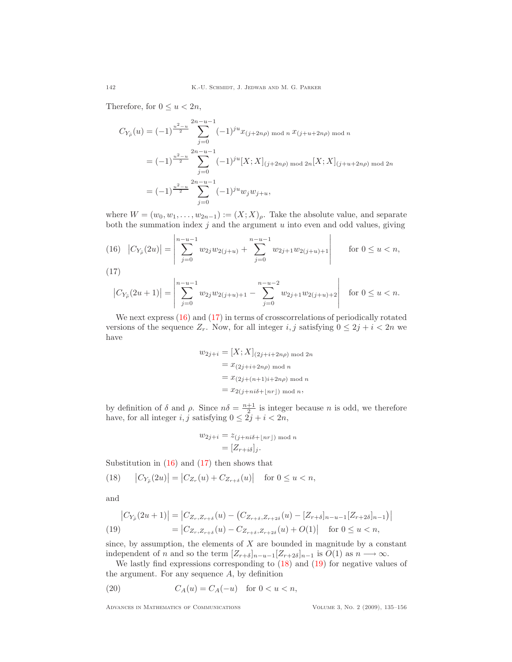Therefore, for  $0 \le u < 2n$ ,

$$
C_{Y_{\tilde{\rho}}}(u) = (-1)^{\frac{u^2 - u}{2}} \sum_{j=0}^{2n - u - 1} (-1)^{ju} x_{(j+2n\rho) \mod n} x_{(j+u+2n\rho) \mod n}
$$
  
=  $(-1)^{\frac{u^2 - u}{2}} \sum_{j=0}^{2n - u - 1} (-1)^{ju} [X; X]_{(j+2n\rho) \mod 2n} [X; X]_{(j+u+2n\rho) \mod 2n}$   
=  $(-1)^{\frac{u^2 - u}{2}} \sum_{j=0}^{2n - u - 1} (-1)^{ju} w_j w_{j+u},$ 

where  $W = (w_0, w_1, \ldots, w_{2n-1}) := (X; X)_{\rho}$ . Take the absolute value, and separate both the summation index  $j$  and the argument  $u$  into even and odd values, giving

<span id="page-7-0"></span>(16) 
$$
|C_{Y_{\tilde{\rho}}}(2u)| = \left|\sum_{j=0}^{n-u-1} w_{2j}w_{2(j+u)} + \sum_{j=0}^{n-u-1} w_{2j+1}w_{2(j+u)+1}\right| \quad \text{for } 0 \le u < n,
$$

<span id="page-7-1"></span>(17)

$$
\left|C_{Y_{\tilde{\rho}}}(2u+1)\right| = \left|\sum_{j=0}^{n-u-1} w_{2j}w_{2(j+u)+1} - \sum_{j=0}^{n-u-2} w_{2j+1}w_{2(j+u)+2}\right| \quad \text{for } 0 \le u < n.
$$

We next express  $(16)$  and  $(17)$  in terms of crosscorrelations of periodically rotated versions of the sequence  $Z_r$ . Now, for all integer i, j satisfying  $0 \leq 2j + i < 2n$  we have

$$
w_{2j+i} = [X; X]_{(2j+i+2n\rho) \mod 2n}
$$

$$
= x_{(2j+i+2n\rho) \mod n}
$$

$$
= x_{(2j+(n+1)i+2n\rho) \mod n}
$$

$$
= x_{2(j+ni\delta+[nr]) \mod n},
$$

by definition of  $\delta$  and  $\rho$ . Since  $n\delta = \frac{n+1}{2}$  is integer because n is odd, we therefore have, for all integer  $i, j$  satisfying  $0 \leq 2j + i < 2n$ ,

$$
w_{2j+i} = z_{(j+ni\delta + \lfloor nr \rfloor) \bmod n}
$$

$$
= [Z_{r+i\delta}]_j.
$$

<span id="page-7-2"></span>Substitution in  $(16)$  and  $(17)$  then shows that

(18) 
$$
|C_{Y_{\tilde{\rho}}}(2u)| = |C_{Z_r}(u) + C_{Z_{r+\delta}}(u)| \text{ for } 0 \le u < n,
$$

and

<span id="page-7-3"></span>
$$
\begin{aligned} \left| C_{Y_{\tilde{\rho}}}(2u+1) \right| &= \left| C_{Z_r, Z_{r+\delta}}(u) - \left( C_{Z_{r+\delta}, Z_{r+2\delta}}(u) - [Z_{r+\delta}]_{n-u-1} [Z_{r+2\delta}]_{n-1} \right) \right| \\ &= \left| C_{Z_r, Z_{r+\delta}}(u) - C_{Z_{r+\delta}, Z_{r+2\delta}}(u) + O(1) \right| \quad \text{for } 0 \le u < n, \end{aligned}
$$

since, by assumption, the elements of  $X$  are bounded in magnitude by a constant independent of n and so the term  $[Z_{r+\delta}]_{n-u-1}[Z_{r+2\delta}]_{n-1}$  is  $O(1)$  as  $n \longrightarrow \infty$ .

We lastly find expressions corresponding to [\(18\)](#page-7-2) and [\(19\)](#page-7-3) for negative values of the argument. For any sequence A, by definition

<span id="page-7-4"></span>
$$
(20) \tCA(u) = CA(-u) for 0 < u < n,
$$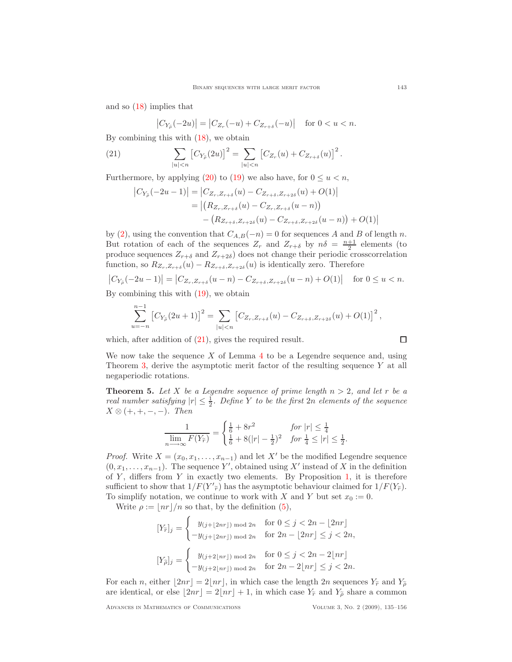and so [\(18\)](#page-7-2) implies that

$$
\left|C_{Y_{\widetilde{\rho}}}(-2u)\right| = \left|C_{Z_r}(-u) + C_{Z_{r+\delta}}(-u)\right| \quad \text{for } 0 < u < n.
$$

By combining this with [\(18\)](#page-7-2), we obtain

<span id="page-8-1"></span>(21) 
$$
\sum_{|u|
$$

Furthermore, by applying [\(20\)](#page-7-4) to [\(19\)](#page-7-3) we also have, for  $0 \le u < n$ ,

$$
|C_{Y_{\tilde{\rho}}}(-2u-1)| = |C_{Z_r, Z_{r+\delta}}(u) - C_{Z_{r+\delta}, Z_{r+2\delta}}(u) + O(1)|
$$
  
= 
$$
|(R_{Z_r, Z_{r+\delta}}(u) - C_{Z_r, Z_{r+\delta}}(u-n)) - (R_{Z_{r+\delta}, Z_{r+2\delta}}(u) - C_{Z_{r+\delta}, Z_{r+2\delta}}(u-n)) + O(1)|
$$

by [\(2\)](#page-2-1), using the convention that  $C_{A,B}(-n) = 0$  for sequences A and B of length n. But rotation of each of the sequences  $Z_r$  and  $Z_{r+\delta}$  by  $n\delta = \frac{n+1}{2}$  elements (to produce sequences  $Z_{r+\delta}$  and  $Z_{r+2\delta}$ ) does not change their periodic crosscorrelation function, so  $R_{Z_r, Z_{r+\delta}}(u) - R_{Z_{r+\delta}, Z_{r+2\delta}}(u)$  is identically zero. Therefore

$$
|C_{Y_{\tilde{\rho}}}(-2u-1)| = |C_{Z_r, Z_{r+\delta}}(u-n) - C_{Z_{r+\delta}, Z_{r+2\delta}}(u-n) + O(1)| \quad \text{ for } 0 \le u < n.
$$

By combining this with [\(19\)](#page-7-3), we obtain

$$
\sum_{u=-n}^{n-1} [C_{Y_{\tilde{\rho}}}(2u+1)]^2 = \sum_{|u|
$$

which, after addition of  $(21)$ , gives the required result.

$$
\Box
$$

We now take the sequence  $X$  of Lemma [4](#page-6-0) to be a Legendre sequence and, using Theorem [3,](#page-5-1) derive the asymptotic merit factor of the resulting sequence Y at all negaperiodic rotations.

<span id="page-8-0"></span>**Theorem 5.** Let X be a Legendre sequence of prime length  $n > 2$ , and let r be a real number satisfying  $|r| \leq \frac{1}{2}$ . Define Y to be the first 2n elements of the sequence  $X \otimes (+,+,-,-).$  Then

$$
\frac{1}{\lim_{n \to \infty} F(Y_{\widetilde{r}})} = \begin{cases} \frac{1}{6} + 8r^2 & \text{for } |r| \le \frac{1}{4} \\ \frac{1}{6} + 8(|r| - \frac{1}{2})^2 & \text{for } \frac{1}{4} \le |r| \le \frac{1}{2}. \end{cases}
$$

*Proof.* Write  $X = (x_0, x_1, \ldots, x_{n-1})$  and let X' be the modified Legendre sequence  $(0, x_1, \ldots, x_{n-1})$ . The sequence Y', obtained using X' instead of X in the definition of  $Y$ , differs from  $Y$  in exactly two elements. By Proposition [1,](#page-3-0) it is therefore sufficient to show that  $1/F(Y'_{\tilde{r}})$  has the asymptotic behaviour claimed for  $1/F(Y_{\tilde{r}})$ . To simplify notation, we continue to work with X and Y but set  $x_0 := 0$ .

Write  $\rho := |nr|/n$  so that, by the definition [\(5\)](#page-3-1),

$$
[Y_{\tilde{r}}]_j = \begin{cases} y_{(j+\lfloor 2nr \rfloor) \bmod 2n} & \text{for } 0 \le j < 2n - \lfloor 2nr \rfloor \\ -y_{(j+\lfloor 2nr \rfloor) \bmod 2n} & \text{for } 2n - \lfloor 2nr \rfloor \le j < 2n, \end{cases}
$$

$$
[Y_{\tilde{\rho}}]_j = \begin{cases} y_{(j+2\lfloor nr \rfloor) \bmod 2n} & \text{for } 0 \le j < 2n - 2\lfloor nr \rfloor \\ -y_{(j+2\lfloor nr \rfloor) \bmod 2n} & \text{for } 2n - 2\lfloor nr \rfloor \le j < 2n. \end{cases}
$$

For each n, either  $|2nr| = 2|nr|$ , in which case the length 2n sequences  $Y_{\tilde{r}}$  and  $Y_{\tilde{p}}$ are identical, or else  $\lfloor 2nr \rfloor = 2\lfloor nr \rfloor + 1$ , in which case  $Y_{\tilde{r}}$  and  $Y_{\tilde{\rho}}$  share a common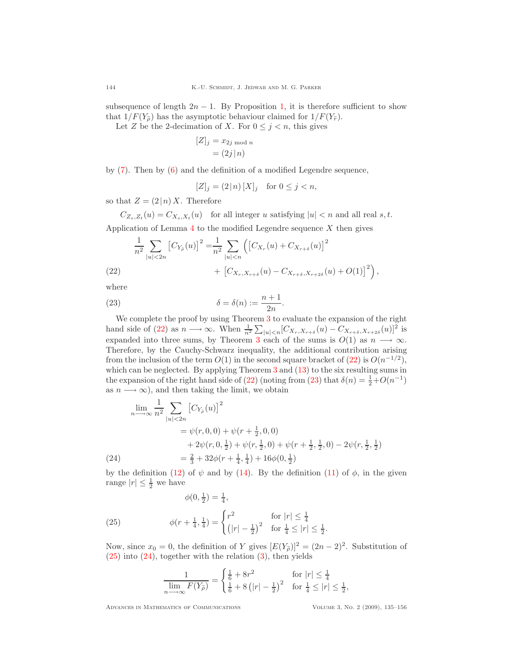subsequence of length  $2n - 1$ . By Proposition [1,](#page-3-0) it is therefore sufficient to show that  $1/F(Y_{\tilde{\sigma}})$  has the asymptotic behaviour claimed for  $1/F(Y_{\tilde{\sigma}})$ .

Let Z be the 2-decimation of X. For  $0 \leq j \leq n$ , this gives

$$
[Z]_j = x_{2j \mod n}
$$

$$
= (2j | n)
$$

by [\(7\)](#page-3-2). Then by [\(6\)](#page-3-3) and the definition of a modified Legendre sequence,

$$
[Z]_j = (2 \, | \, n) \, [X]_j \quad \text{for } 0 \le j < n,
$$

so that  $Z = (2|n) X$ . Therefore

 $C_{Z_s, Z_t}(u) = C_{X_s, X_t}(u)$  for all integer u satisfying  $|u| < n$  and all real s, t. Application of Lemma  $4$  to the modified Legendre sequence  $X$  then gives

$$
\frac{1}{n^2} \sum_{|u| < 2n} \left[ C_{Y_{\tilde{\rho}}}(u) \right]^2 = \frac{1}{n^2} \sum_{|u| < n} \left( \left[ C_{X_r}(u) + C_{X_{r+\delta}}(u) \right]^2 + \left[ C_{X_r, X_{r+\delta}}(u) - C_{X_{r+\delta}, X_{r+2\delta}}(u) + O(1) \right]^2 \right),
$$
\n(22)

<span id="page-9-0"></span>where

<span id="page-9-1"></span>(23) 
$$
\delta = \delta(n) := \frac{n+1}{2n}.
$$

We complete the proof by using Theorem [3](#page-5-1) to evaluate the expansion of the right hand side of [\(22\)](#page-9-0) as  $n \longrightarrow \infty$ . When  $\frac{1}{n^2} \sum_{|u| < n} [C_{X_r, X_{r+\delta}}(u) - C_{X_{r+\delta}, X_{r+2\delta}}(u)]^2$  is expanded into three sums, by Theorem [3](#page-5-1) each of the sums is  $O(1)$  as  $n \longrightarrow \infty$ . Therefore, by the Cauchy-Schwarz inequality, the additional contribution arising from the inclusion of the term  $O(1)$  in the second square bracket of  $(22)$  is  $O(n^{-1/2})$ , which can be neglected. By applying Theorem [3](#page-5-1) and [\(13\)](#page-5-2) to the six resulting sums in the expansion of the right hand side of [\(22\)](#page-9-0) (noting from [\(23\)](#page-9-1) that  $\delta(n) = \frac{1}{2} + O(n^{-1})$ as  $n \longrightarrow \infty$ , and then taking the limit, we obtain

$$
\lim_{n \to \infty} \frac{1}{n^2} \sum_{|u| < 2n} \left[ C_{Y_{\tilde{\rho}}}(u) \right]^2
$$
\n
$$
= \psi(r, 0, 0) + \psi(r + \frac{1}{2}, 0, 0)
$$
\n
$$
+ 2\psi(r, 0, \frac{1}{2}) + \psi(r, \frac{1}{2}, 0) + \psi(r + \frac{1}{2}, \frac{1}{2}, 0) - 2\psi(r, \frac{1}{2}, \frac{1}{2})
$$
\n
$$
= \frac{2}{3} + 32\phi(r + \frac{1}{4}, \frac{1}{4}) + 16\phi(0, \frac{1}{2})
$$

<span id="page-9-3"></span>by the definition [\(12\)](#page-5-3) of  $\psi$  and by [\(14\)](#page-6-2). By the definition [\(11\)](#page-5-4) of  $\phi$ , in the given range  $|r| \leq \frac{1}{2}$  we have

<span id="page-9-2"></span>(25) 
$$
\phi(0, \frac{1}{2}) = \frac{1}{4},
$$

$$
\phi(r + \frac{1}{4}, \frac{1}{4}) = \begin{cases} r^2 & \text{for } |r| \le \frac{1}{4} \\ (|r| - \frac{1}{2})^2 & \text{for } \frac{1}{4} \le |r| \le \frac{1}{2}. \end{cases}
$$

Now, since  $x_0 = 0$ , the definition of Y gives  $[E(Y_{\tilde{\rho}})]^2 = (2n-2)^2$ . Substitution of  $(25)$  into  $(24)$ , together with the relation  $(3)$ , then yields

$$
\frac{1}{\lim_{n \to \infty} F(Y_{\widetilde{\rho}})} = \begin{cases} \frac{1}{6} + 8r^2 & \text{for } |r| \le \frac{1}{4} \\ \frac{1}{6} + 8\left(|r| - \frac{1}{2}\right)^2 & \text{for } \frac{1}{4} \le |r| \le \frac{1}{2} \end{cases}
$$

Advances in Mathematics of Communications Volume 3, No. 2 (2009), 135–156

,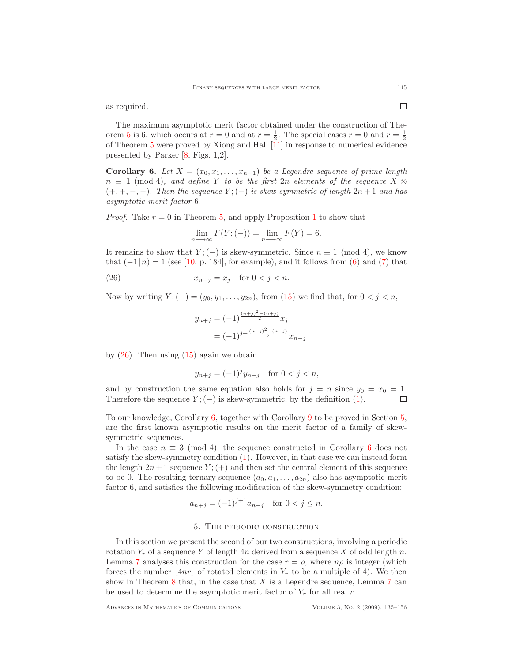as required.

The maximum asymptotic merit factor obtained under the construction of The-orem [5](#page-8-0) is 6, which occurs at  $r = 0$  and at  $r = \frac{1}{2}$ . The special cases  $r = 0$  and  $r = \frac{1}{2}$ of Theorem [5](#page-8-0) were proved by Xiong and Hall  $\tilde{11}$  in response to numerical evidence presented by Parker [\[8,](#page-21-1) Figs. 1,2].

<span id="page-10-0"></span>Corollary 6. Let  $X = (x_0, x_1, \ldots, x_{n-1})$  be a Legendre sequence of prime length  $n \equiv 1 \pmod{4}$ , and define Y to be the first 2n elements of the sequence  $X \otimes$  $(+, +, -, -)$ . Then the sequence  $Y; (-)$  is skew-symmetric of length  $2n + 1$  and has asymptotic merit factor 6.

*Proof.* Take  $r = 0$  in Theorem [5,](#page-8-0) and apply Proposition [1](#page-3-0) to show that

$$
\lim_{n \to \infty} F(Y; (-)) = \lim_{n \to \infty} F(Y) = 6.
$$

It remains to show that  $Y; (-)$  is skew-symmetric. Since  $n \equiv 1 \pmod{4}$ , we know that  $(-1|n) = 1$  (see [\[10,](#page-21-4) p. 184], for example), and it follows from [\(6\)](#page-3-3) and [\(7\)](#page-3-2) that

<span id="page-10-1"></span>
$$
(26) \t\t x_{n-j} = x_j \quad \text{for } 0 < j < n.
$$

Now by writing  $Y; (-) = (y_0, y_1, \ldots, y_{2n})$ , from [\(15\)](#page-6-1) we find that, for  $0 < j < n$ ,

$$
y_{n+j} = (-1)^{\frac{(n+j)^2 - (n+j)}{2}} x_j
$$
  
=  $(-1)^{j + \frac{(n-j)^2 - (n-j)}{2}} x_{n-j}$ 

by  $(26)$ . Then using  $(15)$  again we obtain

$$
y_{n+j} = (-1)^j y_{n-j}
$$
 for  $0 < j < n$ ,

and by construction the same equation also holds for  $j = n$  since  $y_0 = x_0 = 1$ . Therefore the sequence  $Y$ ; (−) is skew-symmetric, by the definition [\(1\)](#page-1-0). П

To our knowledge, Corollary [6,](#page-10-0) together with Corollary [9](#page-14-0) to be proved in Section [5,](#page-10-2) are the first known asymptotic results on the merit factor of a family of skewsymmetric sequences.

In the case  $n \equiv 3 \pmod{4}$ , the sequence constructed in Corollary [6](#page-10-0) does not satisfy the skew-symmetry condition [\(1\)](#page-1-0). However, in that case we can instead form the length  $2n + 1$  sequence  $Y$ ; (+) and then set the central element of this sequence to be 0. The resulting ternary sequence  $(a_0, a_1, \ldots, a_{2n})$  also has asymptotic merit factor 6, and satisfies the following modification of the skew-symmetry condition:

$$
a_{n+j} = (-1)^{j+1} a_{n-j} \text{ for } 0 < j \le n.
$$

#### 5. The periodic construction

<span id="page-10-3"></span><span id="page-10-2"></span>In this section we present the second of our two constructions, involving a periodic rotation  $Y_r$  of a sequence Y of length  $4n$  derived from a sequence X of odd length n. Lemma [7](#page-10-3) analyses this construction for the case  $r = \rho$ , where  $n\rho$  is integer (which forces the number  $|4nr|$  of rotated elements in  $Y_r$  to be a multiple of 4). We then show in Theorem [8](#page-12-0) that, in the case that  $X$  is a Legendre sequence, Lemma [7](#page-10-3) can be used to determine the asymptotic merit factor of  $Y_r$  for all real r.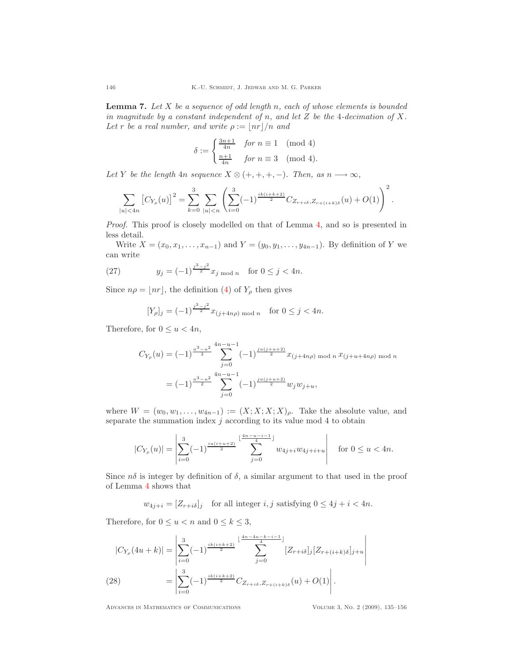**Lemma 7.** Let  $X$  be a sequence of odd length n, each of whose elements is bounded in magnitude by a constant independent of n, and let  $Z$  be the 4-decimation of  $X$ . Let r be a real number, and write  $\rho := |nr|/n$  and

$$
\delta := \begin{cases} \frac{3n+1}{4n} & \text{for } n \equiv 1 \pmod{4} \\ \frac{n+1}{4n} & \text{for } n \equiv 3 \pmod{4}. \end{cases}
$$

Let Y be the length 4n sequence  $X \otimes (+, +, +, -)$ . Then, as  $n \longrightarrow \infty$ ,

$$
\sum_{|u|<4n} \left[C_{Y_{\rho}}(u)\right]^2 = \sum_{k=0}^3 \sum_{|u|
$$

Proof. This proof is closely modelled on that of Lemma [4,](#page-6-0) and so is presented in less detail.

Write  $X = (x_0, x_1, \ldots, x_{n-1})$  and  $Y = (y_0, y_1, \ldots, y_{4n-1})$ . By definition of Y we can write

<span id="page-11-1"></span>(27) 
$$
y_j = (-1)^{\frac{j^3 - j^2}{2}} x_j \mod n \quad \text{for } 0 \le j < 4n.
$$

Since  $n\rho = \lfloor nr \rfloor$ , the definition [\(4\)](#page-2-2) of  $Y_\rho$  then gives

$$
[Y_{\rho}]_j = (-1)^{\frac{j^3 - j^2}{2}} x_{(j+4n\rho) \bmod n} \quad \text{for } 0 \le j < 4n.
$$

Therefore, for  $0 \le u < 4n$ ,

$$
C_{Y_{\rho}}(u) = (-1)^{\frac{u^3 - u^2}{2}} \sum_{j=0}^{4n - u - 1} (-1)^{\frac{ju(j+u+2)}{2}} x_{(j+4n\rho) \mod n} x_{(j+u+4n\rho) \mod n}
$$
  
=  $(-1)^{\frac{u^3 - u^2}{2}} \sum_{j=0}^{4n - u - 1} (-1)^{\frac{ju(j+u+2)}{2}} w_j w_{j+u},$ 

where  $W = (w_0, w_1, \ldots, w_{4n-1}) := (X; X; X; X)_{\rho}$ . Take the absolute value, and separate the summation index  $j$  according to its value mod 4 to obtain

$$
|C_{Y_{\rho}}(u)| = \left| \sum_{i=0}^{3} (-1)^{\frac{iu(i+u+2)}{2}} \sum_{j=0}^{\lfloor \frac{4n-u-i-1}{4} \rfloor} w_{4j+i} w_{4j+i+u} \right| \quad \text{for } 0 \le u < 4n.
$$

Since  $n\delta$  is integer by definition of  $\delta$ , a similar argument to that used in the proof of Lemma [4](#page-6-0) shows that

$$
w_{4j+i} = [Z_{r+i\delta}]_j \quad \text{for all integer } i, j \text{ satisfying } 0 \le 4j+i < 4n.
$$

Therefore, for  $0 \le u < n$  and  $0 \le k \le 3$ ,

<span id="page-11-0"></span>
$$
|C_{Y_{\rho}}(4u+k)| = \left| \sum_{i=0}^{3} (-1)^{\frac{ik(i+k+2)}{2}} \sum_{j=0}^{\lfloor \frac{4n-4u-k-i-1}{4} \rfloor} [Z_{r+i\delta}]_j [Z_{r+(i+k)\delta}]_{j+u} \right|
$$
  
(28) 
$$
= \left| \sum_{i=0}^{3} (-1)^{\frac{ik(i+k+2)}{2}} C_{Z_{r+i\delta}, Z_{r+(i+k)\delta}}(u) + O(1) \right|.
$$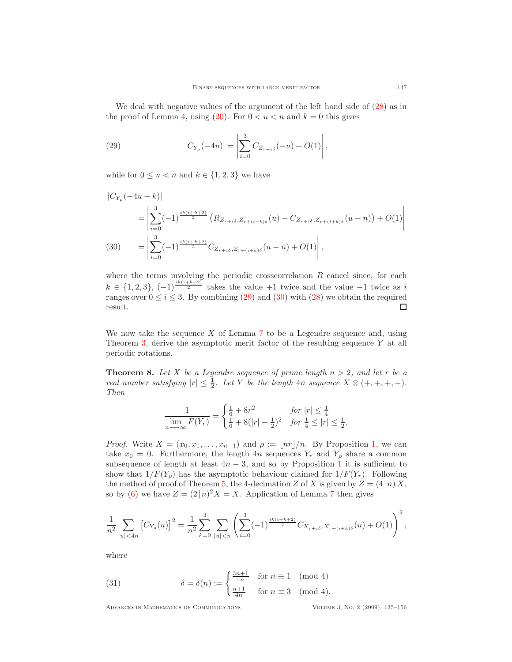We deal with negative values of the argument of the left hand side of  $(28)$  as in the proof of Lemma [4,](#page-6-0) using  $(20)$ . For  $0 < u < n$  and  $k = 0$  this gives

<span id="page-12-1"></span>(29) 
$$
|C_{Y_{\rho}}(-4u)| = \left| \sum_{i=0}^{3} C_{Z_{r+i\delta}}(-u) + O(1) \right|,
$$

while for  $0 \le u < n$  and  $k \in \{1, 2, 3\}$  we have

$$
\begin{split} |C_{Y_{\rho}}(-4u-k)| \\ &= \left| \sum_{i=0}^{3} (-1)^{\frac{ik(i+k+2)}{2}} \left( R_{Z_{r+i\delta},Z_{r+(i+k)\delta}}(u) - C_{Z_{r+i\delta},Z_{r+(i+k)\delta}}(u-n) \right) + O(1) \right| \\ (30) \qquad &= \left| \sum_{i=0}^{3} (-1)^{\frac{ik(i+k+2)}{2}} C_{Z_{r+i\delta},Z_{r+(i+k)\delta}}(u-n) + O(1) \right|, \end{split}
$$

<span id="page-12-2"></span>where the terms involving the periodic crosscorrelation  $R$  cancel since, for each  $k \in \{1,2,3\}, \, (-1)^{\frac{ik(i+k+2)}{2}}$  takes the value  $+1$  twice and the value  $-1$  twice as i ranges over  $0 \le i \le 3$ . By combining [\(29\)](#page-12-1) and [\(30\)](#page-12-2) with [\(28\)](#page-11-0) we obtain the required result. result.

We now take the sequence  $X$  of Lemma [7](#page-10-3) to be a Legendre sequence and, using Theorem [3,](#page-5-1) derive the asymptotic merit factor of the resulting sequence  $Y$  at all periodic rotations.

<span id="page-12-0"></span>**Theorem 8.** Let X be a Legendre sequence of prime length  $n > 2$ , and let r be a real number satisfying  $|r| \leq \frac{1}{2}$ . Let Y be the length 4n sequence  $X \otimes (+, +, +, -)$ . Then

$$
\frac{1}{\lim_{n \longrightarrow \infty} F(Y_r)} = \begin{cases} \frac{1}{6} + 8r^2 & \text{for } |r| \le \frac{1}{4} \\ \frac{1}{6} + 8(|r| - \frac{1}{2})^2 & \text{for } \frac{1}{4} \le |r| \le \frac{1}{2}. \end{cases}
$$

*Proof.* Write  $X = (x_0, x_1, \ldots, x_{n-1})$  $X = (x_0, x_1, \ldots, x_{n-1})$  $X = (x_0, x_1, \ldots, x_{n-1})$  and  $\rho := \lfloor nr \rfloor/n$ . By Proposition 1, we can take  $x_0 = 0$ . Furthermore, the length 4n sequences  $Y_r$  and  $Y_\rho$  share a common subsequence of length at least  $4n-3$ , and so by Proposition [1](#page-3-0) it is sufficient to show that  $1/F(Y_{\rho})$  has the asymptotic behaviour claimed for  $1/F(Y_r)$ . Following the method of proof of Theorem [5,](#page-8-0) the 4-decimation Z of X is given by  $Z = (4|n) X$ , so by [\(6\)](#page-3-3) we have  $Z = (2/n)^2 X = X$ . Application of Lemma [7](#page-10-3) then gives

$$
\frac{1}{n^2} \sum_{|u| < 4n} \left[ C_{Y_{\rho}}(u) \right]^2 = \frac{1}{n^2} \sum_{k=0}^3 \sum_{|u| < n} \left( \sum_{i=0}^3 (-1)^{\frac{ik(i+k+2)}{2}} C_{X_{r+i\delta}, X_{r+(i+k)\delta}}(u) + O(1) \right)^2,
$$

where

<span id="page-12-3"></span>(31) 
$$
\delta = \delta(n) := \begin{cases} \frac{3n+1}{4n} & \text{for } n \equiv 1 \pmod{4} \\ \frac{n+1}{4n} & \text{for } n \equiv 3 \pmod{4}. \end{cases}
$$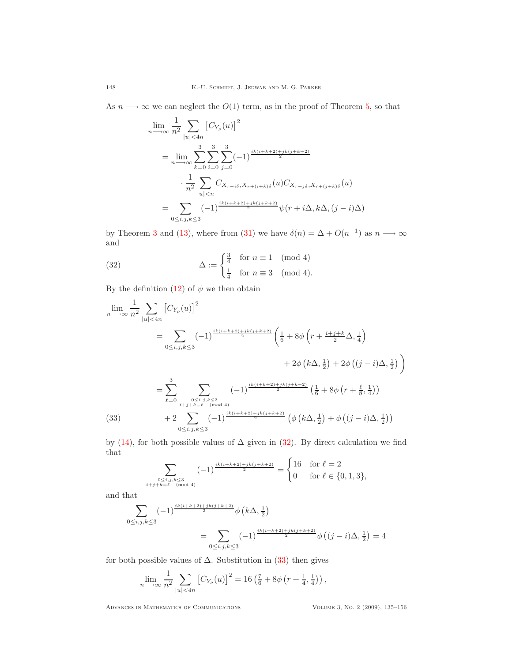As  $n \longrightarrow \infty$  we can neglect the  $O(1)$  term, as in the proof of Theorem [5,](#page-8-0) so that

$$
\lim_{n \to \infty} \frac{1}{n^2} \sum_{|u| < 4n} \left[ C_{Y_{\rho}}(u) \right]^2
$$
\n
$$
= \lim_{n \to \infty} \sum_{k=0}^3 \sum_{i=0}^3 \sum_{j=0}^3 (-1)^{\frac{ik(i+k+2)+jk(j+k+2)}{2}}
$$
\n
$$
\cdot \frac{1}{n^2} \sum_{|u| < n} C_{X_{r+i\delta}, X_{r+(i+k)\delta}}(u) C_{X_{r+j\delta}, X_{r+(j+k)\delta}}(u)
$$
\n
$$
= \sum_{0 \le i,j,k \le 3} (-1)^{\frac{ik(i+k+2)+jk(j+k+2)}{2}} \psi(r+i\Delta, k\Delta, (j-i)\Delta)
$$

by Theorem [3](#page-5-1) and [\(13\)](#page-5-2), where from [\(31\)](#page-12-3) we have  $\delta(n) = \Delta + O(n^{-1})$  as  $n \longrightarrow \infty$ and

<span id="page-13-0"></span>(32) 
$$
\Delta := \begin{cases} \frac{3}{4} & \text{for } n \equiv 1 \pmod{4} \\ \frac{1}{4} & \text{for } n \equiv 3 \pmod{4}. \end{cases}
$$

By the definition  $(12)$  of  $\psi$  we then obtain

$$
\lim_{n \to \infty} \frac{1}{n^2} \sum_{|u| < 4n} \left[ C_{Y_{\rho}}(u) \right]^2
$$
\n
$$
= \sum_{0 \le i,j,k \le 3} (-1)^{\frac{ik(i+k+2)+jk(j+k+2)}{2}} \left( \frac{1}{6} + 8\phi \left( r + \frac{i+j+k}{2} \Delta, \frac{1}{4} \right) + 2\phi \left( k \Delta, \frac{1}{2} \right) + 2\phi \left( (j-i) \Delta, \frac{1}{2} \right) \right)
$$
\n
$$
= \sum_{\ell=0}^3 \sum_{\substack{0 \le i,j,k \le 3 \\ i+j+k \equiv \ell \pmod{4} \\ 0 \le i,j,k \le 3}} (-1)^{\frac{ik(i+k+2)+jk(j+k+2)}{2}} \left( \frac{1}{6} + 8\phi \left( r + \frac{\ell}{8}, \frac{1}{4} \right) \right)
$$
\n(33)\n
$$
+ 2 \sum_{0 \le i,j,k \le 3} (-1)^{\frac{ik(i+k+2)+jk(j+k+2)}{2}} \left( \phi \left( k \Delta, \frac{1}{2} \right) + \phi \left( (j-i) \Delta, \frac{1}{2} \right) \right)
$$

<span id="page-13-1"></span>by [\(14\)](#page-6-2), for both possible values of  $\Delta$  given in [\(32\)](#page-13-0). By direct calculation we find that  $\overline{a}$ 

$$
\sum_{\substack{0 \le i,j,k \le 3 \\ i+j+k \equiv \ell \pmod{4}}} (-1)^{\frac{ik(i+k+2)+jk(j+k+2)}{2}} = \begin{cases} 16 & \text{for } \ell = 2 \\ 0 & \text{for } \ell \in \{0,1,3\}, \end{cases}
$$

and that

$$
\sum_{0 \le i,j,k \le 3} (-1)^{\frac{ik(i+k+2)+jk(j+k+2)}{2}} \phi(k\Delta, \frac{1}{2})
$$
  
= 
$$
\sum_{0 \le i,j,k \le 3} (-1)^{\frac{ik(i+k+2)+jk(j+k+2)}{2}} \phi((j-i)\Delta, \frac{1}{2}) = 4
$$

for both possible values of  $\Delta$ . Substitution in [\(33\)](#page-13-1) then gives

$$
\lim_{n \to \infty} \frac{1}{n^2} \sum_{|u| < 4n} \left[ C_{Y_{\rho}}(u) \right]^2 = 16 \left( \frac{7}{6} + 8\phi \left( r + \frac{1}{4}, \frac{1}{4} \right) \right),
$$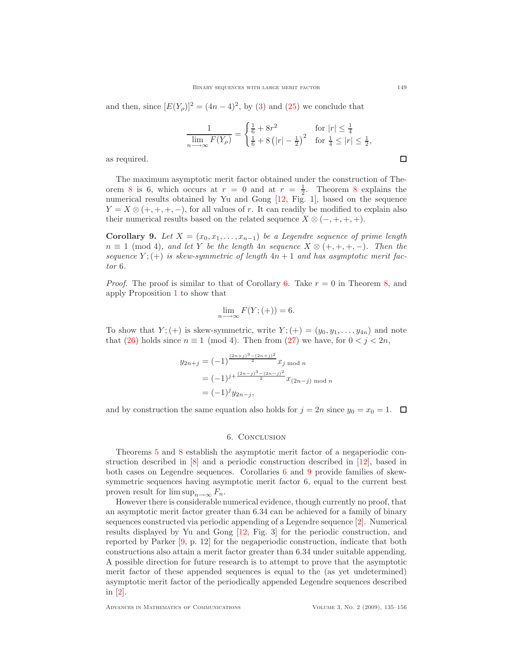and then, since  $[E(Y_p)]^2 = (4n-4)^2$ , by [\(3\)](#page-2-0) and [\(25\)](#page-9-2) we conclude that

$$
\frac{1}{\lim\limits_{n\longrightarrow\infty}F(Y_\rho)}=\begin{cases}\frac{1}{6}+8r^2&\text{for $|r|\leq\frac{1}{4}$}\\ \frac{1}{6}+8\left(|r|-\frac{1}{2}\right)^2&\text{for $\frac{1}{4}\leq|r|\leq\frac{1}{2}$},\end{cases}
$$

as required.

The maximum asymptotic merit factor obtained under the construction of The-orem [8](#page-12-0) is 6, which occurs at  $r = 0$  and at  $r = \frac{1}{2}$ . Theorem 8 explains the numerical results obtained by Yu and Gong [\[12,](#page-21-2) Fig. 1], based on the sequence  $Y = X \otimes (+, +, +, -)$ , for all values of r. It can readily be modified to explain also their numerical results based on the related sequence  $X \otimes (-, +, +, +)$ .

<span id="page-14-0"></span>Corollary 9. Let  $X = (x_0, x_1, \ldots, x_{n-1})$  be a Legendre sequence of prime length  $n \equiv 1 \pmod{4}$ , and let Y be the length  $4n$  sequence  $X \otimes (+, +, +, -)$ . Then the sequence  $Y; (+)$  is skew-symmetric of length  $4n + 1$  and has asymptotic merit factor 6.

*Proof.* The proof is similar to that of Corollary [6.](#page-10-0) Take  $r = 0$  in Theorem [8,](#page-12-0) and apply Proposition [1](#page-3-0) to show that

$$
\lim_{n \to \infty} F(Y; (+)) = 6.
$$

To show that  $Y; (+)$  is skew-symmetric, write  $Y; (+) = (y_0, y_1, \ldots, y_{4n})$  and note that [\(26\)](#page-10-1) holds since  $n \equiv 1 \pmod{4}$ . Then from [\(27\)](#page-11-1) we have, for  $0 < j < 2n$ ,

$$
y_{2n+j} = (-1)^{\frac{(2n+j)^3 - (2n+j)^2}{2}} x_j \mod n
$$
  
=  $(-1)^{j + \frac{(2n-j)^3 - (2n-j)^2}{2}} x_{(2n-j) \mod n}$   
=  $(-1)^j y_{2n-j}$ ,

and by construction the same equation also holds for  $j = 2n$  since  $y_0 = x_0 = 1$ .  $\Box$ 

## 6. Conclusion

Theorems [5](#page-8-0) and [8](#page-12-0) establish the asymptotic merit factor of a negaperiodic construction described in [\[8\]](#page-21-1) and a periodic construction described in [\[12\]](#page-21-2), based in both cases on Legendre sequences. Corollaries [6](#page-10-0) and [9](#page-14-0) provide families of skewsymmetric sequences having asymptotic merit factor 6, equal to the current best proven result for  $\limsup_{n\to\infty} F_n$ .

However there is considerable numerical evidence, though currently no proof, that an asymptotic merit factor greater than 6.34 can be achieved for a family of binary sequences constructed via periodic appending of a Legendre sequence [\[2\]](#page-20-2). Numerical results displayed by Yu and Gong [\[12,](#page-21-2) Fig. 3] for the periodic construction, and reported by Parker [\[9,](#page-21-5) p. 12] for the negaperiodic construction, indicate that both constructions also attain a merit factor greater than 6.34 under suitable appending. A possible direction for future research is to attempt to prove that the asymptotic merit factor of these appended sequences is equal to the (as yet undetermined) asymptotic merit factor of the periodically appended Legendre sequences described in [\[2\]](#page-20-2).

 $\Box$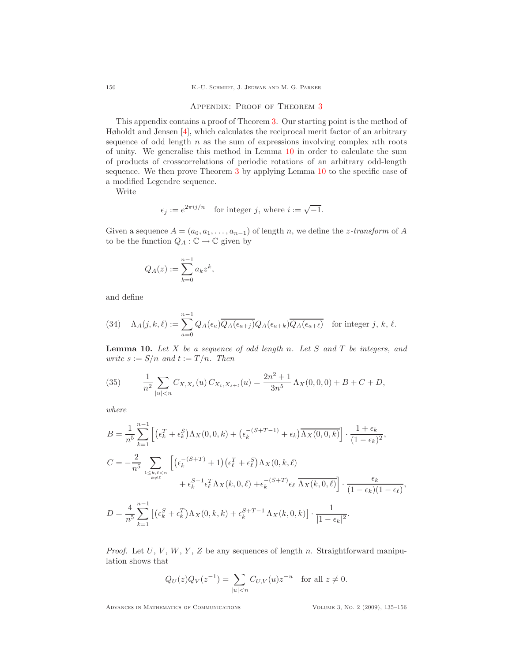# Appendix: Proof of Theorem [3](#page-5-1)

This appendix contains a proof of Theorem [3.](#page-5-1) Our starting point is the method of Høholdt and Jensen [\[4\]](#page-20-1), which calculates the reciprocal merit factor of an arbitrary sequence of odd length  $n$  as the sum of expressions involving complex nth roots of unity. We generalise this method in Lemma [10](#page-15-0) in order to calculate the sum of products of crosscorrelations of periodic rotations of an arbitrary odd-length sequence. We then prove Theorem [3](#page-5-1) by applying Lemma [10](#page-15-0) to the specific case of a modified Legendre sequence.

Write

$$
\epsilon_j := e^{2\pi i j/n}
$$
 for integer j, where  $i := \sqrt{-1}$ .

Given a sequence  $A = (a_0, a_1, \ldots, a_{n-1})$  of length n, we define the *z*-transform of A to be the function  $Q_A : \mathbb{C} \to \mathbb{C}$  given by

$$
Q_A(z) := \sum_{k=0}^{n-1} a_k z^k,
$$

and define

<span id="page-15-1"></span>(34) 
$$
\Lambda_A(j,k,\ell) := \sum_{a=0}^{n-1} Q_A(\epsilon_a) \overline{Q_A(\epsilon_{a+j})} Q_A(\epsilon_{a+k}) \overline{Q_A(\epsilon_{a+k})} \text{ for integer } j, k, \ell.
$$

**Lemma 10.** Let  $X$  be a sequence of odd length n. Let  $S$  and  $T$  be integers, and write  $s := S/n$  and  $t := T/n$ . Then

<span id="page-15-0"></span>(35) 
$$
\frac{1}{n^2} \sum_{|u| < n} C_{X,X_s}(u) C_{X_t,X_{s+t}}(u) = \frac{2n^2 + 1}{3n^5} \Lambda_X(0,0,0) + B + C + D,
$$

where

$$
B = \frac{1}{n^5} \sum_{k=1}^{n-1} \left[ \left( \epsilon_k^T + \epsilon_k^S \right) \Lambda_X(0, 0, k) + \left( \epsilon_k^{-(S+T-1)} + \epsilon_k \right) \overline{\Lambda_X(0, 0, k)} \right] \cdot \frac{1 + \epsilon_k}{(1 - \epsilon_k)^2},
$$
  
\n
$$
C = -\frac{2}{n^5} \sum_{\substack{1 \le k, \ell < n \\ k \neq \ell}} \left[ \left( \epsilon_k^{-(S+T)} + 1 \right) \left( \epsilon_\ell^T + \epsilon_\ell^S \right) \Lambda_X(0, k, \ell) + \epsilon_k^{-(S+T)} \epsilon_\ell \overline{\Lambda_X(k, 0, \ell)} \right] \cdot \frac{\epsilon_k}{(1 - \epsilon_k)(1 - \epsilon_\ell)},
$$
  
\n
$$
D = \frac{4}{n^5} \sum_{k=1}^{n-1} \left[ \left( \epsilon_k^S + \epsilon_k^T \right) \Lambda_X(0, k, k) + \epsilon_k^{S+T-1} \Lambda_X(k, 0, k) \right] \cdot \frac{1}{|1 - \epsilon_k|^2}.
$$

*Proof.* Let  $U, V, W, Y, Z$  be any sequences of length n. Straightforward manipulation shows that

$$
Q_U(z)Q_V(z^{-1}) = \sum_{|u| < n} C_{U,V}(u) z^{-u} \text{ for all } z \neq 0.
$$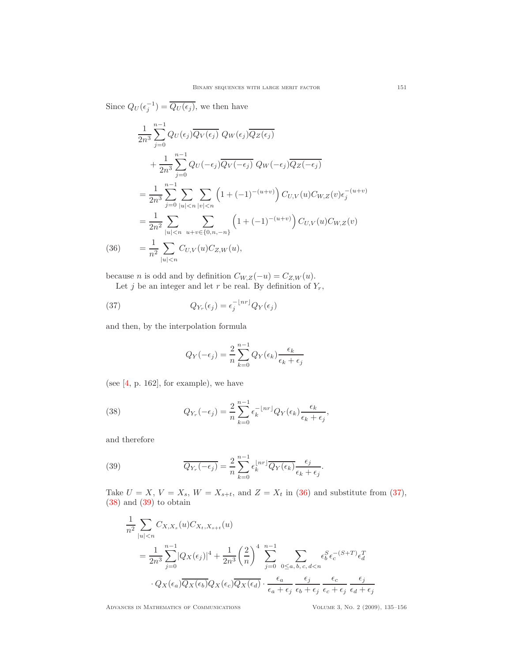Since  $Q_U(\epsilon_j^{-1}) = \overline{Q_U(\epsilon_j)}$ , we then have

$$
\frac{1}{2n^3} \sum_{j=0}^{n-1} Q_U(\epsilon_j) \overline{Q_V(\epsilon_j)} Q_W(\epsilon_j) \overline{Q_Z(\epsilon_j)}
$$
\n
$$
+ \frac{1}{2n^3} \sum_{j=0}^{n-1} Q_U(-\epsilon_j) \overline{Q_V(-\epsilon_j)} Q_W(-\epsilon_j) \overline{Q_Z(-\epsilon_j)}
$$
\n
$$
= \frac{1}{2n^3} \sum_{j=0}^{n-1} \sum_{|u| < n} \sum_{|v| < n} \left( 1 + (-1)^{-(u+v)} \right) C_{U,V}(u) C_{W,Z}(v) \epsilon_j^{-(u+v)}
$$
\n
$$
= \frac{1}{2n^2} \sum_{|u| < n} \sum_{u+v \in \{0, n, -n\}} \left( 1 + (-1)^{-(u+v)} \right) C_{U,V}(u) C_{W,Z}(v)
$$
\n(36)\n
$$
= \frac{1}{n^2} \sum_{|u| < n} C_{U,V}(u) C_{Z,W}(u),
$$

<span id="page-16-0"></span>because *n* is odd and by definition  $C_{W,Z}(-u) = C_{Z,W}(u)$ . Let j be an integer and let r be real. By definition of  $Y_r$ ,

<span id="page-16-1"></span>(37) 
$$
Q_{Y_r}(\epsilon_j) = \epsilon_j^{-\lfloor nr \rfloor} Q_Y(\epsilon_j)
$$

and then, by the interpolation formula

$$
Q_Y(-\epsilon_j) = \frac{2}{n} \sum_{k=0}^{n-1} Q_Y(\epsilon_k) \frac{\epsilon_k}{\epsilon_k + \epsilon_j}
$$

(see [\[4,](#page-20-1) p. 162], for example), we have

<span id="page-16-2"></span>(38) 
$$
Q_{Y_r}(-\epsilon_j) = \frac{2}{n} \sum_{k=0}^{n-1} \epsilon_k^{-\lfloor nr \rfloor} Q_Y(\epsilon_k) \frac{\epsilon_k}{\epsilon_k + \epsilon_j},
$$

and therefore

<span id="page-16-3"></span>(39) 
$$
\overline{Q_{Y_r}(-\epsilon_j)} = \frac{2}{n} \sum_{k=0}^{n-1} \epsilon_k^{\lfloor nr \rfloor} \overline{Q_Y(\epsilon_k)} \frac{\epsilon_j}{\epsilon_k + \epsilon_j}.
$$

Take  $U = X$ ,  $V = X_s$ ,  $W = X_{s+t}$ , and  $Z = X_t$  in [\(36\)](#page-16-0) and substitute from [\(37\)](#page-16-1), [\(38\)](#page-16-2) and [\(39\)](#page-16-3) to obtain

$$
\frac{1}{n^2} \sum_{|u|\n
$$
= \frac{1}{2n^3} \sum_{j=0}^{n-1} |Q_X(\epsilon_j)|^4 + \frac{1}{2n^3} \left(\frac{2}{n}\right)^4 \sum_{j=0}^{n-1} \sum_{0 \le a,b,c,d < n} \epsilon_b^S \epsilon_c^{-(S+T)} \epsilon_d^T
$$
\n
$$
\cdot Q_X(\epsilon_a) \overline{Q_X(\epsilon_b)} Q_X(\epsilon_c) \overline{Q_X(\epsilon_d)} \cdot \frac{\epsilon_a}{\epsilon_a + \epsilon_j} \frac{\epsilon_j}{\epsilon_b + \epsilon_j} \frac{\epsilon_c}{\epsilon_c + \epsilon_j} \frac{\epsilon_j}{\epsilon_d + \epsilon_j}
$$
$$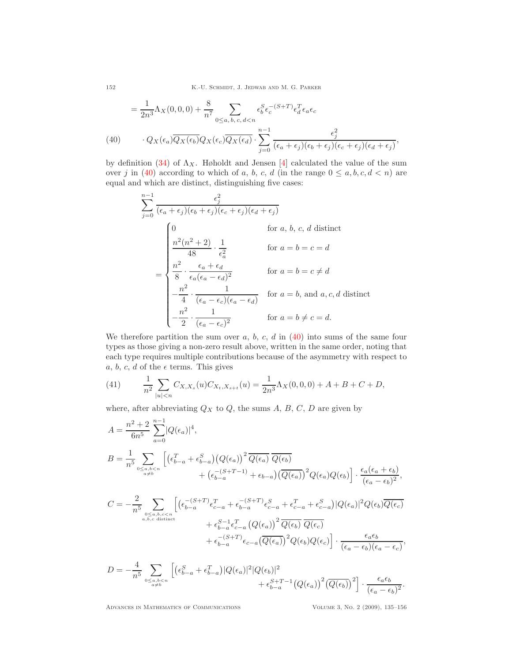152 K.-U. SCHMIDT, J. JEDWAB AND M. G. PARKER

$$
= \frac{1}{2n^3} \Lambda_X(0,0,0) + \frac{8}{n^7} \sum_{0 \le a,\, b,\, c,\, d < n} \epsilon_b^S \epsilon_c^{-(S+T)} \epsilon_d^T \epsilon_a \epsilon_c
$$
\n
$$
(40) \qquad \cdot Q_X(\epsilon_a) \overline{Q_X(\epsilon_b)} Q_X(\epsilon_c) \overline{Q_X(\epsilon_d)} \cdot \sum_{j=0}^{n-1} \frac{\epsilon_j^2}{(\epsilon_a + \epsilon_j)(\epsilon_b + \epsilon_j)(\epsilon_c + \epsilon_j)(\epsilon_d + \epsilon_j)},
$$

<span id="page-17-0"></span>by definition [\(34\)](#page-15-1) of  $\Lambda_X$ . Høholdt and Jensen [\[4\]](#page-20-1) calculated the value of the sum over j in [\(40\)](#page-17-0) according to which of a, b, c, d (in the range  $0 \leq a, b, c, d < n$ ) are equal and which are distinct, distinguishing five cases:

$$
\sum_{j=0}^{n-1} \frac{\epsilon_j^2}{(\epsilon_a + \epsilon_j)(\epsilon_b + \epsilon_j)(\epsilon_c + \epsilon_j)(\epsilon_d + \epsilon_j)}
$$
  
\n
$$
= \begin{cases}\n0 & \text{for } a, b, c, d \text{ distinct} \\
\frac{n^2(n^2 + 2)}{48} \cdot \frac{1}{\epsilon_a^2} & \text{for } a = b = c = d \\
\frac{n^2}{8} \cdot \frac{\epsilon_a + \epsilon_d}{\epsilon_a(\epsilon_a - \epsilon_d)^2} & \text{for } a = b = c \neq d \\
-\frac{n^2}{4} \cdot \frac{1}{(\epsilon_a - \epsilon_c)(\epsilon_a - \epsilon_d)} & \text{for } a = b, \text{ and } a, c, d \text{ distinct} \\
-\frac{n^2}{2} \cdot \frac{1}{(\epsilon_a - \epsilon_c)^2} & \text{for } a = b \neq c = d.\n\end{cases}
$$

We therefore partition the sum over  $a, b, c, d$  in [\(40\)](#page-17-0) into sums of the same four types as those giving a non-zero result above, written in the same order, noting that each type requires multiple contributions because of the asymmetry with respect to a, b, c, d of the  $\epsilon$  terms. This gives

<span id="page-17-1"></span>(41) 
$$
\frac{1}{n^2} \sum_{|u| < n} C_{X,X_s}(u) C_{X_t,X_{s+t}}(u) = \frac{1}{2n^3} \Lambda_X(0,0,0) + A + B + C + D,
$$

where, after abbreviating  $Q_X$  to  $Q$ , the sums  $A, B, C, D$  are given by

$$
A = \frac{n^2 + 2}{6n^5} \sum_{a=0}^{n-1} |Q(\epsilon_a)|^4,
$$
  
\n
$$
B = \frac{1}{n^5} \sum_{0 \le a,b < n \atop a \ne b} \left[ \left( \epsilon_{b-a}^T + \epsilon_{b-a}^S \right) (Q(\epsilon_a))^2 \overline{Q(\epsilon_a)} \overline{Q(\epsilon_b)} \right. \left. + \left( \epsilon_{b-a}^{-(S+T-1)} + \epsilon_{b-a} \right) (\overline{Q(\epsilon_a)})^2 Q(\epsilon_a) Q(\epsilon_b) \right] \cdot \frac{\epsilon_a (\epsilon_a + \epsilon_b)}{(\epsilon_a - \epsilon_b)^2},
$$
  
\n
$$
C = -\frac{2}{n^5} \sum_{0 \le a,b,c < n \atop a,b,c \text{ distinct}} \left[ \left( \epsilon_{b-a}^{-(S+T)} \epsilon_{c-a}^T + \epsilon_{b-a}^{-(S+T)} \epsilon_{c-a}^S + \epsilon_{c-a}^T + \epsilon_{c-a}^S \right) |Q(\epsilon_a)|^2 Q(\epsilon_b) \overline{Q(\epsilon_c)} \right. \left. + \epsilon_{b-a}^{S-1} \epsilon_{c-a}^T \left( Q(\epsilon_a) \right)^2 \overline{Q(\epsilon_b)} \overline{Q(\epsilon_c)} \right. \left. + \epsilon_{b-a}^{-(S+T)} \epsilon_{c-a} (\overline{Q(\epsilon_a)})^2 Q(\epsilon_b) Q(\epsilon_c) \right] \cdot \frac{\epsilon_a \epsilon_b}{(\epsilon_a - \epsilon_b)(\epsilon_a - \epsilon_c)},
$$

$$
D = -\frac{4}{n^5} \sum_{\substack{0 \le a,b < n \\ a \ne b}} \left[ \left( \epsilon_{b-a}^S + \epsilon_{b-a}^T \right) |Q(\epsilon_a)|^2 |Q(\epsilon_b)|^2 + \epsilon_{b-a}^{S+T-1} \left( Q(\epsilon_a) \right)^2 \left( \overline{Q(\epsilon_b)} \right)^2 \right] \cdot \frac{\epsilon_a \epsilon_b}{(\epsilon_a - \epsilon_b)^2}.
$$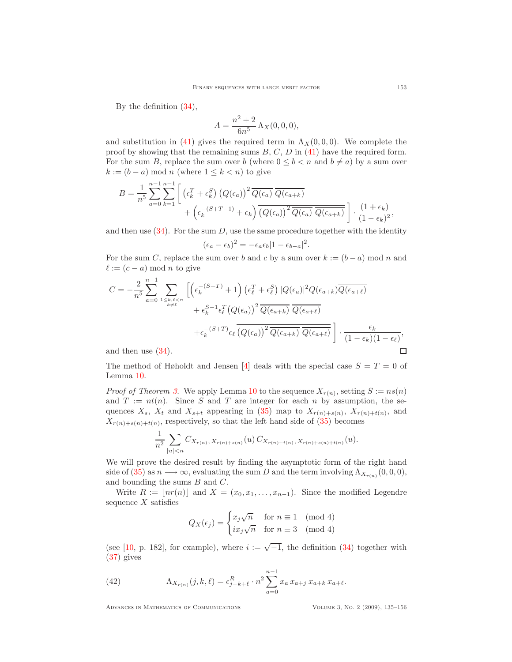By the definition [\(34\)](#page-15-1),

$$
A = \frac{n^2 + 2}{6n^5} \Lambda_X(0, 0, 0),
$$

and substitution in [\(41\)](#page-17-1) gives the required term in  $\Lambda_X(0, 0, 0)$ . We complete the proof by showing that the remaining sums  $B, C, D$  in [\(41\)](#page-17-1) have the required form. For the sum B, replace the sum over b (where  $0 \leq b \leq n$  and  $b \neq a$ ) by a sum over  $k := (b - a) \bmod n$  (where  $1 \leq k < n$ ) to give

$$
B = \frac{1}{n^5} \sum_{a=0}^{n-1} \sum_{k=1}^{n-1} \left[ \left( \epsilon_k^T + \epsilon_k^S \right) \left( Q(\epsilon_a) \right)^2 \overline{Q(\epsilon_a)} \overline{Q(\epsilon_{a+k})} + \left( \epsilon_k^{-(S+T-1)} + \epsilon_k \right) \overline{\left( Q(\epsilon_a) \right)^2 \overline{Q(\epsilon_a)} \overline{Q(\epsilon_{a+k})}} \right] \cdot \frac{(1+\epsilon_k)}{(1-\epsilon_k)^2},
$$

and then use  $(34)$ . For the sum D, use the same procedure together with the identity

$$
(\epsilon_a - \epsilon_b)^2 = -\epsilon_a \epsilon_b |1 - \epsilon_{b-a}|^2.
$$

For the sum C, replace the sum over b and c by a sum over  $k := (b - a) \mod n$  and  $\ell := (c - a) \bmod n$  to give

$$
C = -\frac{2}{n^5} \sum_{a=0}^{n-1} \sum_{\substack{1 \le k,\ell \le n \\ k \neq \ell}} \left[ \left( \epsilon_k^{-(S+T)} + 1 \right) \left( \epsilon_\ell^T + \epsilon_\ell^S \right) |Q(\epsilon_a)|^2 Q(\epsilon_{a+k}) \overline{Q(\epsilon_{a+k})} + \epsilon_k^{S-1} \epsilon_\ell^T \left( Q(\epsilon_a) \right)^2 \overline{Q(\epsilon_{a+k})} \overline{Q(\epsilon_{a+k})} + \epsilon_k^{-(S+T)} \epsilon_\ell \overline{\left( Q(\epsilon_a) \right)^2 \overline{Q(\epsilon_{a+k})} \overline{Q(\epsilon_{a+k})}} \right] \cdot \frac{\epsilon_k}{(1 - \epsilon_k)(1 - \epsilon_\ell)},
$$
  
and then use (34).

and then use  $(34)$ .

The method of Høholdt and Jensen [\[4\]](#page-20-1) deals with the special case  $S = T = 0$  of Lemma [10.](#page-15-0)

*Proof of Theorem [3.](#page-5-1)* We apply Lemma [10](#page-15-0) to the sequence  $X_{r(n)}$ , setting  $S := ns(n)$ and  $T := nt(n)$ . Since S and T are integer for each n by assumption, the sequences  $X_s$ ,  $X_t$  and  $X_{s+t}$  appearing in [\(35\)](#page-15-0) map to  $X_{r(n)+s(n)}$ ,  $X_{r(n)+t(n)}$ , and  $X_{r(n)+s(n)+t(n)}$ , respectively, so that the left hand side of [\(35\)](#page-15-0) becomes

$$
\frac{1}{n^2} \sum_{|u| < n} C_{X_{r(n)}}, X_{r(n)+s(n)}(u) \, C_{X_{r(n)+t(n)}}, X_{r(n)+s(n)+t(n)}(u).
$$

We will prove the desired result by finding the asymptotic form of the right hand side of [\(35\)](#page-15-0) as  $n \longrightarrow \infty$ , evaluating the sum D and the term involving  $\Lambda_{X_{r(n)}}(0,0,0)$ , and bounding the sums  $B$  and  $C$ .

Write  $R := |nr(n)|$  and  $X = (x_0, x_1, \ldots, x_{n-1})$ . Since the modified Legendre sequence  $X$  satisfies

$$
Q_X(\epsilon_j) = \begin{cases} x_j \sqrt{n} & \text{for } n \equiv 1 \pmod{4} \\ ix_j \sqrt{n} & \text{for } n \equiv 3 \pmod{4} \end{cases}
$$

(see [\[10,](#page-21-4) p. 182], for example), where  $i := \sqrt{-1}$ , the definition [\(34\)](#page-15-1) together with [\(37\)](#page-16-1) gives

<span id="page-18-0"></span>(42) 
$$
\Lambda_{X_{r(n)}}(j,k,\ell) = \epsilon_{j-k+\ell}^R \cdot n^2 \sum_{a=0}^{n-1} x_a x_{a+j} x_{a+k} x_{a+\ell}.
$$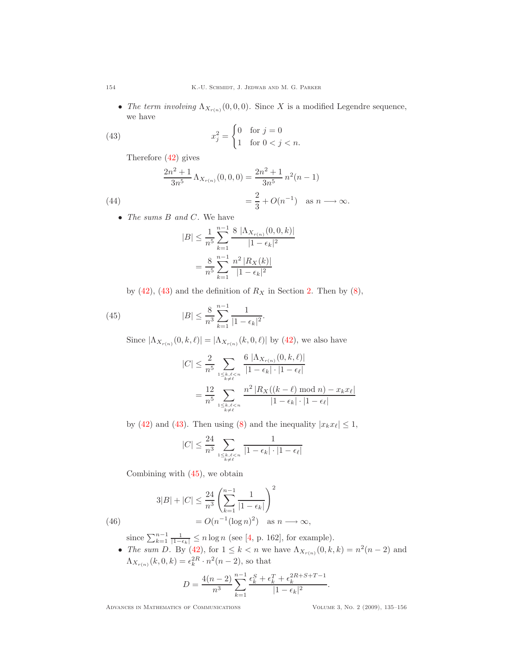• The term involving  $\Lambda_{X_{r(n)}}(0,0,0)$ . Since X is a modified Legendre sequence, we have

(43) 
$$
x_j^2 = \begin{cases} 0 & \text{for } j = 0 \\ 1 & \text{for } 0 < j < n. \end{cases}
$$

<span id="page-19-0"></span>Therefore [\(42\)](#page-18-0) gives

<span id="page-19-2"></span>(44)  
\n
$$
\frac{2n^2+1}{3n^5} \Lambda_{X_{r(n)}}(0,0,0) = \frac{2n^2+1}{3n^5} n^2(n-1)
$$
\n
$$
= \frac{2}{3} + O(n^{-1}) \quad \text{as } n \longrightarrow \infty.
$$

• The sums B and C. We have

$$
|B| \le \frac{1}{n^5} \sum_{k=1}^{n-1} \frac{8 |\Lambda_{X_{r(n)}}(0,0,k)|}{|1 - \epsilon_k|^2}
$$

$$
= \frac{8}{n^5} \sum_{k=1}^{n-1} \frac{n^2 |R_X(k)|}{|1 - \epsilon_k|^2}
$$

by  $(42)$ ,  $(43)$  and the definition of  $R_X$  in Section [2.](#page-2-3) Then by  $(8)$ ,

<span id="page-19-1"></span>(45) 
$$
|B| \leq \frac{8}{n^3} \sum_{k=1}^{n-1} \frac{1}{|1 - \epsilon_k|^2}.
$$

Since  $|\Lambda_{X_{r(n)}}(0, k, \ell)| = |\Lambda_{X_{r(n)}}(k, 0, \ell)|$  by [\(42\)](#page-18-0), we also have

$$
|C| \leq \frac{2}{n^5} \sum_{\substack{1 \leq k,\ell < n \\ k \neq \ell}} \frac{6 \left| \Lambda_{X_{r(n)}}(0, k, \ell) \right|}{|1 - \epsilon_k| \cdot |1 - \epsilon_\ell|}
$$
\n
$$
= \frac{12}{n^5} \sum_{\substack{1 \leq k,\ell < n \\ k \neq \ell}} \frac{n^2 \left| R_X((k - \ell) \mod n) - x_k x_\ell \right|}{|1 - \epsilon_k| \cdot |1 - \epsilon_\ell|}
$$

by [\(42\)](#page-18-0) and [\(43\)](#page-19-0). Then using [\(8\)](#page-3-4) and the inequality  $|x_kx_\ell| \leq 1$ ,

$$
|C| \le \frac{24}{n^3} \sum_{\substack{1 \le k,\ell < n \\ k \ne \ell}} \frac{1}{|1 - \epsilon_k| \cdot |1 - \epsilon_\ell|}
$$

Combining with [\(45\)](#page-19-1), we obtain

<span id="page-19-3"></span>(46) 
$$
3|B| + |C| \le \frac{24}{n^3} \left( \sum_{k=1}^{n-1} \frac{1}{|1 - \epsilon_k|} \right)^2 = O(n^{-1} (\log n)^2) \text{ as } n \longrightarrow \infty,
$$

since  $\sum_{k=1}^{n-1} \frac{1}{|1-\epsilon_k|} \le n \log n$  (see [\[4,](#page-20-1) p. 162], for example).

• The sum D. By [\(42\)](#page-18-0), for  $1 \le k < n$  we have  $\Lambda_{X_{r(n)}}(0, k, k) = n^2(n-2)$  and  $\Lambda_{X_{r(n)}}(k,0,k) = \epsilon_k^{2R} \cdot n^2(n-2)$ , so that

$$
D = \frac{4(n-2)}{n^3} \sum_{k=1}^{n-1} \frac{\epsilon_k^S + \epsilon_k^T + \epsilon_k^{2R+S+T-1}}{|1 - \epsilon_k|^2}.
$$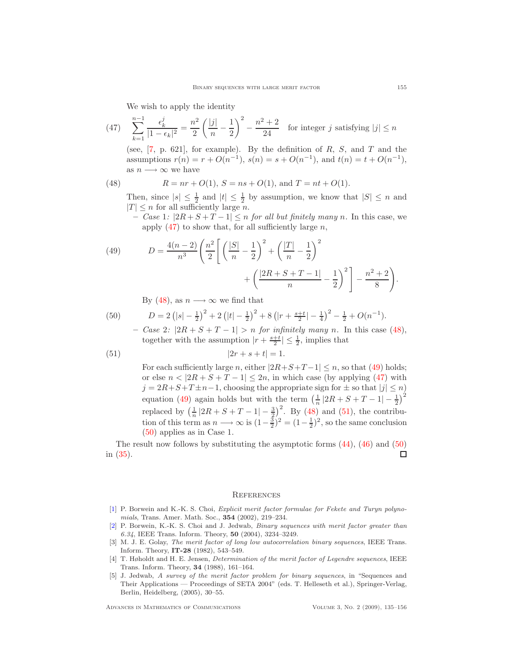We wish to apply the identity

<span id="page-20-5"></span>(47) 
$$
\sum_{k=1}^{n-1} \frac{\epsilon_k^j}{|1 - \epsilon_k|^2} = \frac{n^2}{2} \left( \frac{|j|}{n} - \frac{1}{2} \right)^2 - \frac{n^2 + 2}{24}
$$
 for integer *j* satisfying  $|j| \le n$ 

(see,  $[7, p. 621]$ , for example). By the definition of  $R, S$ , and  $T$  and the assumptions  $r(n) = r + O(n^{-1}), s(n) = s + O(n^{-1}),$  and  $t(n) = t + O(n^{-1}),$ as  $n \longrightarrow \infty$  we have

<span id="page-20-6"></span>(48) 
$$
R = nr + O(1), S = ns + O(1), \text{ and } T = nt + O(1).
$$

Then, since  $|s| \leq \frac{1}{2}$  and  $|t| \leq \frac{1}{2}$  by assumption, we know that  $|S| \leq n$  and  $|T| \leq n$  for all sufficiently large *n*.

– Case 1:  $|2R + S + T - 1| \leq n$  for all but finitely many n. In this case, we apply  $(47)$  to show that, for all sufficiently large n,

<span id="page-20-7"></span>(49) 
$$
D = \frac{4(n-2)}{n^3} \left( \frac{n^2}{2} \left[ \left( \frac{|S|}{n} - \frac{1}{2} \right)^2 + \left( \frac{|T|}{n} - \frac{1}{2} \right)^2 + \left( \frac{|2R + S + T - 1|}{n} - \frac{1}{2} \right)^2 \right] - \frac{n^2 + 2}{8} \right).
$$

By [\(48\)](#page-20-6), as  $n \longrightarrow \infty$  we find that

<span id="page-20-9"></span>(50) 
$$
D = 2(|s| - \frac{1}{2})^2 + 2(|t| - \frac{1}{2})^2 + 8(|r + \frac{s+t}{2}| - \frac{1}{4})^2 - \frac{1}{2} + O(n^{-1}).
$$

– Case 2:  $|2R + S + T - 1| > n$  for infinitely many n. In this case [\(48\)](#page-20-6), together with the assumption  $|r + \frac{s+t}{2}| \leq \frac{1}{2}$ , implies that

(51) 
$$
|2r + s + t| = 1.
$$

<span id="page-20-8"></span>For each sufficiently large n, either  $|2R+S+T-1| \leq n$ , so that [\(49\)](#page-20-7) holds; or else  $n < |2R + S + T - 1| \le 2n$ , in which case (by applying [\(47\)](#page-20-5) with  $j = 2R+S+T \pm n-1$ , choosing the appropriate sign for  $\pm$  so that  $|j| \leq n$ ) equation [\(49\)](#page-20-7) again holds but with the term  $\left(\frac{1}{n}|2R+S+T-1|-\frac{1}{2}\right)^2$ replaced by  $\left(\frac{1}{n}|2R+S+T-1|-\frac{3}{2}\right)^2$ . By [\(48\)](#page-20-6) and [\(51\)](#page-20-8), the contribution of this term as  $n \longrightarrow \infty$  is  $(1-\frac{3}{2})^2 = (1-\frac{1}{2})^2$ , so the same conclusion [\(50\)](#page-20-9) applies as in Case 1.

The result now follows by substituting the asymptotic forms [\(44\)](#page-19-2), [\(46\)](#page-19-3) and [\(50\)](#page-20-9) in [\(35\)](#page-15-0).  $\Box$ 

#### **REFERENCES**

- <span id="page-20-4"></span>[\[1\]](http://www.ams.org/mathscinet-getitem?mr=MR1859033&return=pdf) P. Borwein and K.-K. S. Choi, Explicit merit factor formulae for Fekete and Turyn polynomials, Trans. Amer. Math. Soc., 354 (2002), 219–234.
- <span id="page-20-2"></span>[\[2\]](http://www.ams.org/mathscinet-getitem?mr=MR2103494&return=pdf) P. Borwein, K.-K. S. Choi and J. Jedwab, Binary sequences with merit factor greater than 6.34, IEEE Trans. Inform. Theory, 50 (2004), 3234–3249.
- <span id="page-20-3"></span>[3] M. J. E. Golay, The merit factor of long low autocorrelation binary sequences, IEEE Trans. Inform. Theory, IT-28 (1982), 543–549.
- <span id="page-20-1"></span>[4] T. Høholdt and H. E. Jensen, Determination of the merit factor of Legendre sequences, IEEE Trans. Inform. Theory, 34 (1988), 161–164.
- <span id="page-20-0"></span>[5] J. Jedwab, A survey of the merit factor problem for binary sequences, in "Sequences and Their Applications — Proceedings of SETA 2004" (eds. T. Helleseth et al.), Springer-Verlag, Berlin, Heidelberg, (2005), 30–55.